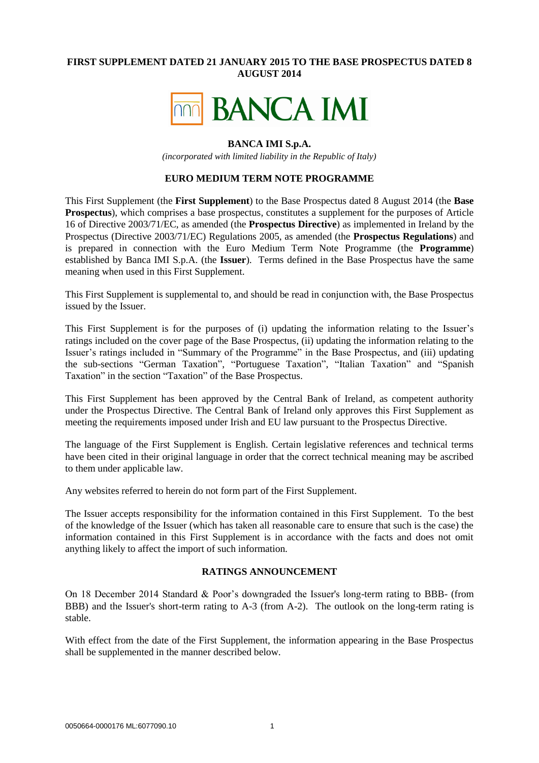## **FIRST SUPPLEMENT DATED 21 JANUARY 2015 TO THE BASE PROSPECTUS DATED 8 AUGUST 2014**



### **BANCA IMI S.p.A.**

*(incorporated with limited liability in the Republic of Italy)*

#### **EURO MEDIUM TERM NOTE PROGRAMME**

This First Supplement (the **First Supplement**) to the Base Prospectus dated 8 August 2014 (the **Base Prospectus**), which comprises a base prospectus, constitutes a supplement for the purposes of Article 16 of Directive 2003/71/EC, as amended (the **Prospectus Directive**) as implemented in Ireland by the Prospectus (Directive 2003/71/EC) Regulations 2005, as amended (the **Prospectus Regulations**) and is prepared in connection with the Euro Medium Term Note Programme (the **Programme**) established by Banca IMI S.p.A. (the **Issuer**). Terms defined in the Base Prospectus have the same meaning when used in this First Supplement.

This First Supplement is supplemental to, and should be read in conjunction with, the Base Prospectus issued by the Issuer.

This First Supplement is for the purposes of (i) updating the information relating to the Issuer's ratings included on the cover page of the Base Prospectus, (ii) updating the information relating to the Issuer's ratings included in "Summary of the Programme" in the Base Prospectus, and (iii) updating the sub-sections "German Taxation", "Portuguese Taxation", "Italian Taxation" and "Spanish Taxation" in the section "Taxation" of the Base Prospectus.

This First Supplement has been approved by the Central Bank of Ireland, as competent authority under the Prospectus Directive. The Central Bank of Ireland only approves this First Supplement as meeting the requirements imposed under Irish and EU law pursuant to the Prospectus Directive.

The language of the First Supplement is English. Certain legislative references and technical terms have been cited in their original language in order that the correct technical meaning may be ascribed to them under applicable law.

Any websites referred to herein do not form part of the First Supplement.

The Issuer accepts responsibility for the information contained in this First Supplement. To the best of the knowledge of the Issuer (which has taken all reasonable care to ensure that such is the case) the information contained in this First Supplement is in accordance with the facts and does not omit anything likely to affect the import of such information.

### **RATINGS ANNOUNCEMENT**

On 18 December 2014 Standard & Poor's downgraded the Issuer's long-term rating to BBB- (from BBB) and the Issuer's short-term rating to A-3 (from A-2). The outlook on the long-term rating is stable.

With effect from the date of the First Supplement, the information appearing in the Base Prospectus shall be supplemented in the manner described below.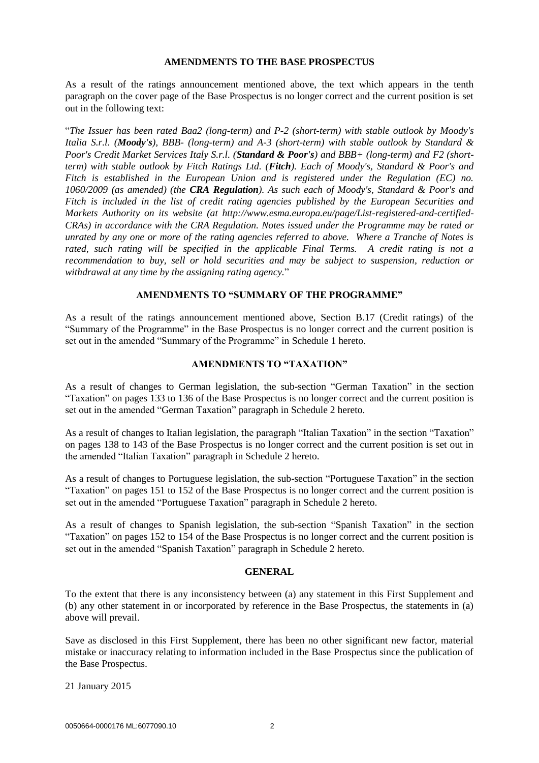#### **AMENDMENTS TO THE BASE PROSPECTUS**

As a result of the ratings announcement mentioned above, the text which appears in the tenth paragraph on the cover page of the Base Prospectus is no longer correct and the current position is set out in the following text:

"*The Issuer has been rated Baa2 (long-term) and P-2 (short-term) with stable outlook by Moody's Italia S.r.l. (Moody's), BBB- (long-term) and A-3 (short-term) with stable outlook by Standard & Poor's Credit Market Services Italy S.r.l. (Standard & Poor's) and BBB+ (long-term) and F2 (shortterm) with stable outlook by Fitch Ratings Ltd. (Fitch). Each of Moody's, Standard & Poor's and Fitch is established in the European Union and is registered under the Regulation (EC) no. 1060/2009 (as amended) (the CRA Regulation). As such each of Moody's, Standard & Poor's and Fitch is included in the list of credit rating agencies published by the European Securities and Markets Authority on its website (at http://www.esma.europa.eu/page/List-registered-and-certified-CRAs) in accordance with the CRA Regulation. Notes issued under the Programme may be rated or unrated by any one or more of the rating agencies referred to above. Where a Tranche of Notes is rated, such rating will be specified in the applicable Final Terms. A credit rating is not a recommendation to buy, sell or hold securities and may be subject to suspension, reduction or withdrawal at any time by the assigning rating agency.*"

### **AMENDMENTS TO "SUMMARY OF THE PROGRAMME"**

As a result of the ratings announcement mentioned above, Section B.17 (Credit ratings) of the "Summary of the Programme" in the Base Prospectus is no longer correct and the current position is set out in the amended "Summary of the Programme" in [Schedule 1](#page-2-0) hereto.

## **AMENDMENTS TO "TAXATION"**

As a result of changes to German legislation, the sub-section "German Taxation" in the section "Taxation" on pages 133 to 136 of the Base Prospectus is no longer correct and the current position is set out in the amended "German Taxation" paragraph in Schedule 2 hereto.

As a result of changes to Italian legislation, the paragraph "Italian Taxation" in the section "Taxation" on pages 138 to 143 of the Base Prospectus is no longer correct and the current position is set out in the amended "Italian Taxation" paragraph in Schedule 2 hereto.

As a result of changes to Portuguese legislation, the sub-section "Portuguese Taxation" in the section "Taxation" on pages 151 to 152 of the Base Prospectus is no longer correct and the current position is set out in the amended "Portuguese Taxation" paragraph in Schedule 2 hereto.

As a result of changes to Spanish legislation, the sub-section "Spanish Taxation" in the section "Taxation" on pages 152 to 154 of the Base Prospectus is no longer correct and the current position is set out in the amended "Spanish Taxation" paragraph in Schedule 2 hereto.

#### **GENERAL**

To the extent that there is any inconsistency between (a) any statement in this First Supplement and (b) any other statement in or incorporated by reference in the Base Prospectus, the statements in (a) above will prevail.

Save as disclosed in this First Supplement, there has been no other significant new factor, material mistake or inaccuracy relating to information included in the Base Prospectus since the publication of the Base Prospectus.

21 January 2015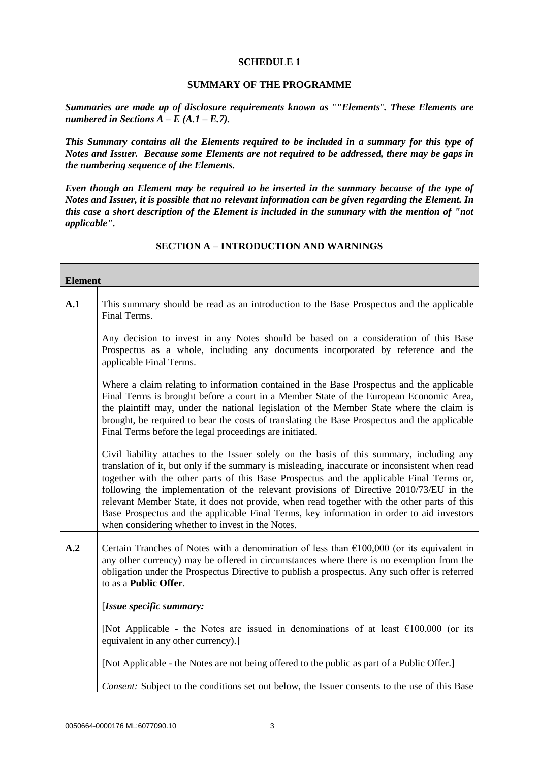#### **SCHEDULE 1**

## **SUMMARY OF THE PROGRAMME**

<span id="page-2-0"></span>*Summaries are made up of disclosure requirements known as* "*"Elements*"*. These Elements are numbered in Sections A – E (A.1 – E.7).* 

*This Summary contains all the Elements required to be included in a summary for this type of Notes and Issuer. Because some Elements are not required to be addressed, there may be gaps in the numbering sequence of the Elements.*

*Even though an Element may be required to be inserted in the summary because of the type of Notes and Issuer, it is possible that no relevant information can be given regarding the Element. In this case a short description of the Element is included in the summary with the mention of "not applicable".*

## **SECTION A – INTRODUCTION AND WARNINGS**

| <b>Element</b> |                                                                                                                                                                                                                                                                                                                                                                                                                                                                                                                                                                                                                                   |
|----------------|-----------------------------------------------------------------------------------------------------------------------------------------------------------------------------------------------------------------------------------------------------------------------------------------------------------------------------------------------------------------------------------------------------------------------------------------------------------------------------------------------------------------------------------------------------------------------------------------------------------------------------------|
| A.1            | This summary should be read as an introduction to the Base Prospectus and the applicable<br>Final Terms.                                                                                                                                                                                                                                                                                                                                                                                                                                                                                                                          |
|                | Any decision to invest in any Notes should be based on a consideration of this Base<br>Prospectus as a whole, including any documents incorporated by reference and the<br>applicable Final Terms.                                                                                                                                                                                                                                                                                                                                                                                                                                |
|                | Where a claim relating to information contained in the Base Prospectus and the applicable<br>Final Terms is brought before a court in a Member State of the European Economic Area,<br>the plaintiff may, under the national legislation of the Member State where the claim is<br>brought, be required to bear the costs of translating the Base Prospectus and the applicable<br>Final Terms before the legal proceedings are initiated.                                                                                                                                                                                        |
|                | Civil liability attaches to the Issuer solely on the basis of this summary, including any<br>translation of it, but only if the summary is misleading, inaccurate or inconsistent when read<br>together with the other parts of this Base Prospectus and the applicable Final Terms or,<br>following the implementation of the relevant provisions of Directive 2010/73/EU in the<br>relevant Member State, it does not provide, when read together with the other parts of this<br>Base Prospectus and the applicable Final Terms, key information in order to aid investors<br>when considering whether to invest in the Notes. |
| A.2            | Certain Tranches of Notes with a denomination of less than $£100,000$ (or its equivalent in<br>any other currency) may be offered in circumstances where there is no exemption from the<br>obligation under the Prospectus Directive to publish a prospectus. Any such offer is referred<br>to as a Public Offer.                                                                                                                                                                                                                                                                                                                 |
|                | [Issue specific summary:                                                                                                                                                                                                                                                                                                                                                                                                                                                                                                                                                                                                          |
|                | [Not Applicable - the Notes are issued in denominations of at least $€100,000$ (or its<br>equivalent in any other currency).]                                                                                                                                                                                                                                                                                                                                                                                                                                                                                                     |
|                | [Not Applicable - the Notes are not being offered to the public as part of a Public Offer.]                                                                                                                                                                                                                                                                                                                                                                                                                                                                                                                                       |
|                | Consent: Subject to the conditions set out below, the Issuer consents to the use of this Base                                                                                                                                                                                                                                                                                                                                                                                                                                                                                                                                     |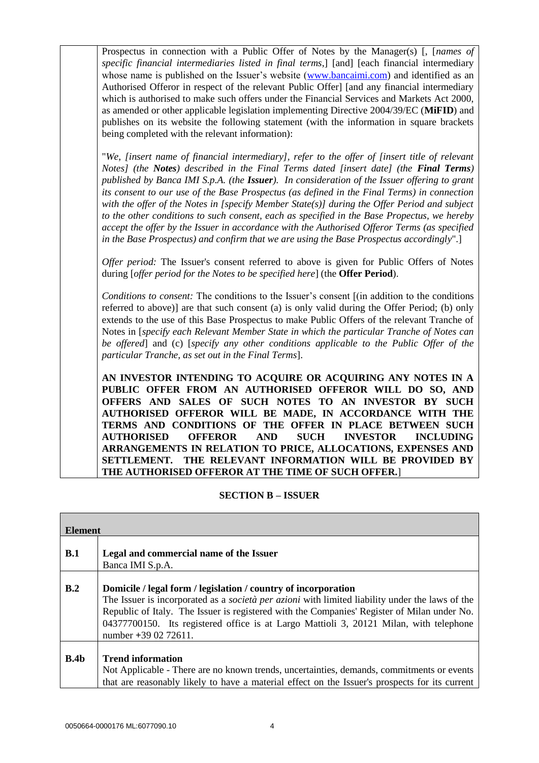Prospectus in connection with a Public Offer of Notes by the Manager(s) [, [*names of specific financial intermediaries listed in final terms*,] [and] [each financial intermediary whose name is published on the Issuer's website [\(www.bancaimi.com\)](http://www.bancaimi.com/) and identified as an Authorised Offeror in respect of the relevant Public Offer] [and any financial intermediary which is authorised to make such offers under the Financial Services and Markets Act 2000, as amended or other applicable legislation implementing Directive 2004/39/EC (**MiFID**) and publishes on its website the following statement (with the information in square brackets being completed with the relevant information):

"*We, [insert name of financial intermediary], refer to the offer of [insert title of relevant Notes] (the Notes) described in the Final Terms dated [insert date] (the Final Terms) published by Banca IMI S.p.A. (the Issuer). In consideration of the Issuer offering to grant its consent to our use of the Base Prospectus (as defined in the Final Terms) in connection with the offer of the Notes in [specify Member State(s)] during the Offer Period and subject to the other conditions to such consent, each as specified in the Base Propectus, we hereby accept the offer by the Issuer in accordance with the Authorised Offeror Terms (as specified in the Base Prospectus) and confirm that we are using the Base Prospectus accordingly*".]

*Offer period:* The Issuer's consent referred to above is given for Public Offers of Notes during [*offer period for the Notes to be specified here*] (the **Offer Period**).

*Conditions to consent:* The conditions to the Issuer's consent [(in addition to the conditions referred to above)] are that such consent (a) is only valid during the Offer Period; (b) only extends to the use of this Base Prospectus to make Public Offers of the relevant Tranche of Notes in [*specify each Relevant Member State in which the particular Tranche of Notes can be offered*] and (c) [*specify any other conditions applicable to the Public Offer of the particular Tranche, as set out in the Final Terms*].

**AN INVESTOR INTENDING TO ACQUIRE OR ACQUIRING ANY NOTES IN A PUBLIC OFFER FROM AN AUTHORISED OFFEROR WILL DO SO, AND OFFERS AND SALES OF SUCH NOTES TO AN INVESTOR BY SUCH AUTHORISED OFFEROR WILL BE MADE, IN ACCORDANCE WITH THE TERMS AND CONDITIONS OF THE OFFER IN PLACE BETWEEN SUCH AUTHORISED OFFEROR AND SUCH INVESTOR INCLUDING ARRANGEMENTS IN RELATION TO PRICE, ALLOCATIONS, EXPENSES AND SETTLEMENT. THE RELEVANT INFORMATION WILL BE PROVIDED BY THE AUTHORISED OFFEROR AT THE TIME OF SUCH OFFER.**]

## **SECTION B – ISSUER**

| <b>Element</b> |                                                                                                                                                                                                                                                                                                                                                                                           |
|----------------|-------------------------------------------------------------------------------------------------------------------------------------------------------------------------------------------------------------------------------------------------------------------------------------------------------------------------------------------------------------------------------------------|
| B.1            | Legal and commercial name of the Issuer<br>Banca IMI S.p.A.                                                                                                                                                                                                                                                                                                                               |
| B.2            | Domicile / legal form / legislation / country of incorporation<br>The Issuer is incorporated as a <i>società per azioni</i> with limited liability under the laws of the<br>Republic of Italy. The Issuer is registered with the Companies' Register of Milan under No.<br>04377700150. Its registered office is at Largo Mattioli 3, 20121 Milan, with telephone<br>number +39 02 72611. |
| B.4b           | <b>Trend information</b><br>Not Applicable - There are no known trends, uncertainties, demands, commitments or events<br>that are reasonably likely to have a material effect on the Issuer's prospects for its current                                                                                                                                                                   |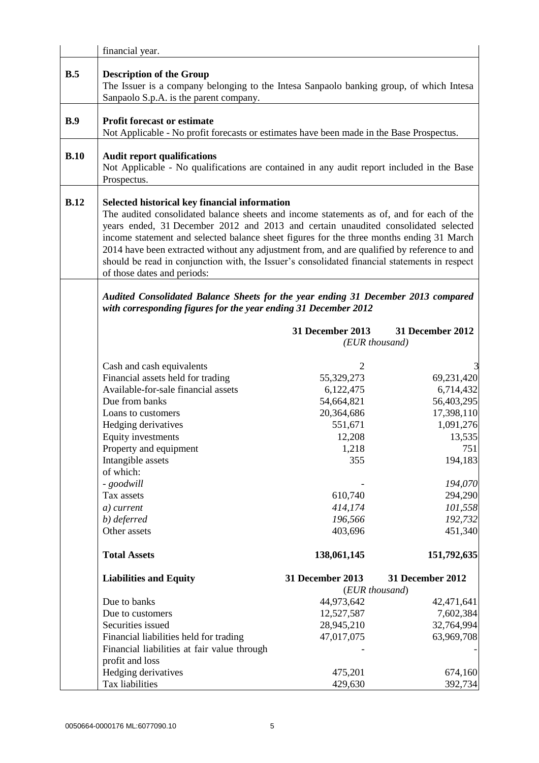|      | financial year.                                                                                                                                                                                                                                                                                                                                                                                                                                                                                                                                            |                                                                                                                                                          |                                                                                                                                                                    |
|------|------------------------------------------------------------------------------------------------------------------------------------------------------------------------------------------------------------------------------------------------------------------------------------------------------------------------------------------------------------------------------------------------------------------------------------------------------------------------------------------------------------------------------------------------------------|----------------------------------------------------------------------------------------------------------------------------------------------------------|--------------------------------------------------------------------------------------------------------------------------------------------------------------------|
| B.5  | <b>Description of the Group</b><br>The Issuer is a company belonging to the Intesa Sanpaolo banking group, of which Intesa<br>Sanpaolo S.p.A. is the parent company.                                                                                                                                                                                                                                                                                                                                                                                       |                                                                                                                                                          |                                                                                                                                                                    |
| B.9  | <b>Profit forecast or estimate</b><br>Not Applicable - No profit forecasts or estimates have been made in the Base Prospectus.                                                                                                                                                                                                                                                                                                                                                                                                                             |                                                                                                                                                          |                                                                                                                                                                    |
| B.10 | <b>Audit report qualifications</b><br>Not Applicable - No qualifications are contained in any audit report included in the Base<br>Prospectus.                                                                                                                                                                                                                                                                                                                                                                                                             |                                                                                                                                                          |                                                                                                                                                                    |
| B.12 | Selected historical key financial information<br>The audited consolidated balance sheets and income statements as of, and for each of the<br>years ended, 31 December 2012 and 2013 and certain unaudited consolidated selected<br>income statement and selected balance sheet figures for the three months ending 31 March<br>2014 have been extracted without any adjustment from, and are qualified by reference to and<br>should be read in conjunction with, the Issuer's consolidated financial statements in respect<br>of those dates and periods: |                                                                                                                                                          |                                                                                                                                                                    |
|      | Audited Consolidated Balance Sheets for the year ending 31 December 2013 compared<br>with corresponding figures for the year ending 31 December 2012                                                                                                                                                                                                                                                                                                                                                                                                       |                                                                                                                                                          |                                                                                                                                                                    |
|      |                                                                                                                                                                                                                                                                                                                                                                                                                                                                                                                                                            | 31 December 2013<br>(EUR thousand)                                                                                                                       | 31 December 2012                                                                                                                                                   |
|      | Cash and cash equivalents<br>Financial assets held for trading<br>Available-for-sale financial assets<br>Due from banks<br>Loans to customers<br>Hedging derivatives<br>Equity investments<br>Property and equipment<br>Intangible assets<br>of which:<br>- goodwill<br>Tax assets<br>a) current<br>b) deferred<br>Other assets<br><b>Total Assets</b>                                                                                                                                                                                                     | 2<br>55,329,273<br>6,122,475<br>54,664,821<br>20,364,686<br>551,671<br>12,208<br>1,218<br>355<br>610,740<br>414,174<br>196,566<br>403,696<br>138,061,145 | 69,231,420<br>6,714,432<br>56,403,295<br>17,398,110<br>1,091,276<br>13,535<br>751<br>194,183<br>194,070<br>294,290<br>101,558<br>192,732<br>451,340<br>151,792,635 |
|      | <b>Liabilities and Equity</b>                                                                                                                                                                                                                                                                                                                                                                                                                                                                                                                              | 31 December 2013                                                                                                                                         | <b>31 December 2012</b>                                                                                                                                            |
|      | Due to banks<br>Due to customers<br>Securities issued<br>Financial liabilities held for trading<br>Financial liabilities at fair value through<br>profit and loss<br>Hedging derivatives                                                                                                                                                                                                                                                                                                                                                                   | (EUR thousand)<br>44,973,642<br>12,527,587<br>28,945,210<br>47,017,075<br>475,201                                                                        | 42,471,641<br>7,602,384<br>32,764,994<br>63,969,708<br>674,160                                                                                                     |
|      | Tax liabilities                                                                                                                                                                                                                                                                                                                                                                                                                                                                                                                                            | 429,630                                                                                                                                                  | 392,734                                                                                                                                                            |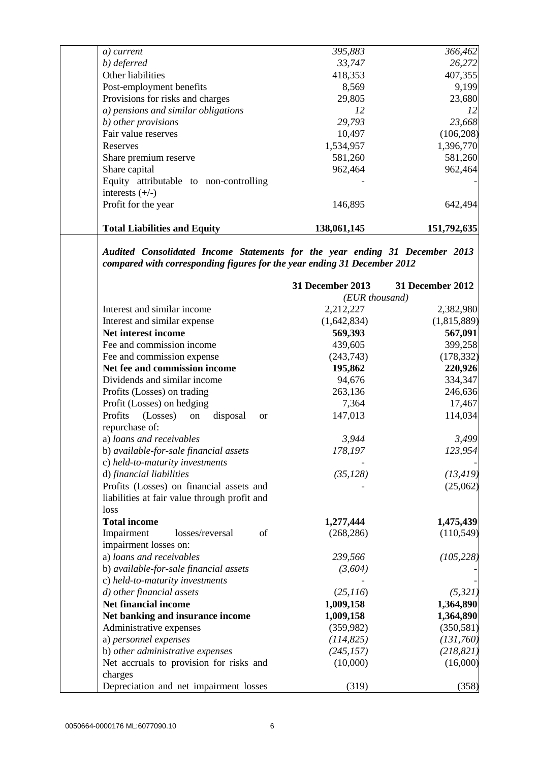| a) current                                                                                                                                              | 395,883          | 366,462          |
|---------------------------------------------------------------------------------------------------------------------------------------------------------|------------------|------------------|
| b) deferred                                                                                                                                             | 33,747           | 26,272           |
| Other liabilities                                                                                                                                       | 418,353          | 407,355          |
| Post-employment benefits                                                                                                                                | 8,569            | 9,199            |
| Provisions for risks and charges                                                                                                                        | 29,805           | 23,680           |
| a) pensions and similar obligations                                                                                                                     | 12               | 12               |
| b) other provisions                                                                                                                                     | 29,793           | 23,668           |
| Fair value reserves                                                                                                                                     | 10,497           | (106, 208)       |
| Reserves                                                                                                                                                | 1,534,957        | 1,396,770        |
| Share premium reserve                                                                                                                                   | 581,260          | 581,260          |
| Share capital                                                                                                                                           | 962,464          | 962,464          |
| Equity attributable to non-controlling                                                                                                                  |                  |                  |
| interests $(+/-)$                                                                                                                                       |                  |                  |
| Profit for the year                                                                                                                                     | 146,895          | 642,494          |
| <b>Total Liabilities and Equity</b>                                                                                                                     | 138,061,145      | 151,792,635      |
| Audited Consolidated Income Statements for the year ending 31 December 2013<br>compared with corresponding figures for the year ending 31 December 2012 |                  |                  |
|                                                                                                                                                         | 31 December 2013 | 31 December 2012 |
|                                                                                                                                                         | (EUR thousand)   |                  |
| Interest and similar income                                                                                                                             | 2,212,227        | 2,382,980        |
| Interest and similar expense                                                                                                                            | (1,642,834)      | (1,815,889)      |
| Net interest income                                                                                                                                     | 569,393          | 567,091          |
| Fee and commission income                                                                                                                               | 439,605          | 399,258          |
| Fee and commission expense                                                                                                                              | (243,743)        | (178, 332)       |
| Net fee and commission income                                                                                                                           | 195,862          | 220,926          |
| Dividends and similar income                                                                                                                            | 94,676           | 334,347          |
| Profits (Losses) on trading                                                                                                                             | 263,136          | 246,636          |
| Profit (Losses) on hedging                                                                                                                              | 7,364            | 17,467           |
| Profits<br>(Losses)<br>disposal<br>on<br><b>or</b>                                                                                                      | 147,013          | 114,034          |
| repurchase of:                                                                                                                                          |                  |                  |
| a) loans and receivables                                                                                                                                | 3,944            | 3,499            |
| b) available-for-sale financial assets                                                                                                                  | 178,197          | 123,954          |
| c) held-to-maturity investments                                                                                                                         |                  |                  |
| d) financial liabilities                                                                                                                                | (35, 128)        | (13, 419)        |
| Profits (Losses) on financial assets and                                                                                                                |                  | (25,062)         |
| liabilities at fair value through profit and                                                                                                            |                  |                  |
| loss                                                                                                                                                    |                  |                  |
| <b>Total income</b>                                                                                                                                     | 1,277,444        | 1,475,439        |
| Impairment<br>of<br>losses/reversal                                                                                                                     | (268, 286)       | (110, 549)       |
|                                                                                                                                                         |                  |                  |
| impairment losses on:                                                                                                                                   |                  | (105, 228)       |
| a) loans and receivables                                                                                                                                | 239,566          |                  |
| b) available-for-sale financial assets                                                                                                                  | (3,604)          |                  |
| c) held-to-maturity investments                                                                                                                         |                  |                  |
| d) other financial assets                                                                                                                               | (25,116)         | (5, 321)         |
| <b>Net financial income</b>                                                                                                                             | 1,009,158        | 1,364,890        |
| Net banking and insurance income                                                                                                                        | 1,009,158        | 1,364,890        |
| Administrative expenses                                                                                                                                 | (359,982)        | (350, 581)       |
| a) personnel expenses                                                                                                                                   | (114, 825)       | (131,760)        |
| b) other administrative expenses                                                                                                                        | (245, 157)       | (218, 821)       |
| Net accruals to provision for risks and                                                                                                                 | (10,000)         | (16,000)         |
| charges                                                                                                                                                 |                  |                  |
| Depreciation and net impairment losses                                                                                                                  | (319)            | (358)            |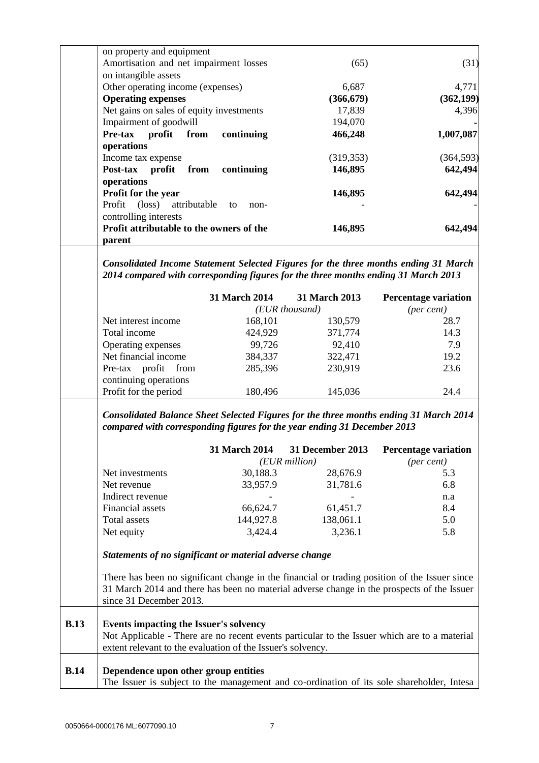|             | on property and equipment<br>Amortisation and net impairment losses                       |               | (65)            | (31)                                                                                                                                                                                        |
|-------------|-------------------------------------------------------------------------------------------|---------------|-----------------|---------------------------------------------------------------------------------------------------------------------------------------------------------------------------------------------|
|             | on intangible assets                                                                      |               |                 |                                                                                                                                                                                             |
|             | Other operating income (expenses)                                                         |               | 6,687           | 4,771                                                                                                                                                                                       |
|             | <b>Operating expenses</b>                                                                 |               | (366, 679)      | (362, 199)                                                                                                                                                                                  |
|             | Net gains on sales of equity investments                                                  |               | 17,839          | 4,396                                                                                                                                                                                       |
|             | Impairment of goodwill                                                                    |               | 194,070         |                                                                                                                                                                                             |
|             | Pre-tax profit from                                                                       | continuing    | 466,248         | 1,007,087                                                                                                                                                                                   |
|             | operations                                                                                |               |                 |                                                                                                                                                                                             |
|             | Income tax expense                                                                        |               | (319, 353)      | (364, 593)                                                                                                                                                                                  |
|             | Post-tax<br>profit<br>from                                                                | continuing    | 146,895         | 642,494                                                                                                                                                                                     |
|             | operations                                                                                |               |                 |                                                                                                                                                                                             |
|             | Profit for the year                                                                       |               | 146,895         | 642,494                                                                                                                                                                                     |
|             | Profit (loss)<br>attributable                                                             | to            |                 |                                                                                                                                                                                             |
|             | controlling interests                                                                     | non-          |                 |                                                                                                                                                                                             |
|             | Profit attributable to the owners of the                                                  |               |                 | 642,494                                                                                                                                                                                     |
|             |                                                                                           |               | 146,895         |                                                                                                                                                                                             |
|             | parent                                                                                    |               |                 |                                                                                                                                                                                             |
|             | Consolidated Income Statement Selected Figures for the three months ending 31 March       |               |                 |                                                                                                                                                                                             |
|             | 2014 compared with corresponding figures for the three months ending 31 March 2013        |               |                 |                                                                                                                                                                                             |
|             |                                                                                           | 31 March 2014 | 31 March 2013   | <b>Percentage variation</b>                                                                                                                                                                 |
|             |                                                                                           |               | (EUR thousand)  | (per cent)                                                                                                                                                                                  |
|             | Net interest income                                                                       | 168,101       | 130,579         | 28.7                                                                                                                                                                                        |
|             | Total income                                                                              | 424,929       | 371,774         | 14.3                                                                                                                                                                                        |
|             | Operating expenses                                                                        | 99,726        | 92,410          | 7.9                                                                                                                                                                                         |
|             | Net financial income                                                                      | 384,337       | 322,471         | 19.2                                                                                                                                                                                        |
|             | Pre-tax profit from                                                                       | 285,396       | 230,919         | 23.6                                                                                                                                                                                        |
|             | continuing operations                                                                     |               |                 |                                                                                                                                                                                             |
|             | Profit for the period                                                                     | 180,496       | 145,036         | 24.4                                                                                                                                                                                        |
|             |                                                                                           |               |                 | <b>Consolidated Balance Sheet Selected Figures for the three months ending 31 March 2014</b>                                                                                                |
|             | compared with corresponding figures for the year ending 31 December 2013                  |               |                 |                                                                                                                                                                                             |
|             |                                                                                           |               |                 | 31 March 2014 31 December 2013 Percentage variation                                                                                                                                         |
|             |                                                                                           |               | $(EUR$ million) | $(\text{per cent})$                                                                                                                                                                         |
|             | Net investments                                                                           | 30,188.3      | 28,676.9        | 5.3                                                                                                                                                                                         |
|             | Net revenue                                                                               | 33,957.9      | 31,781.6        | 6.8                                                                                                                                                                                         |
|             | Indirect revenue                                                                          |               |                 | n.a                                                                                                                                                                                         |
|             | Financial assets                                                                          | 66,624.7      | 61,451.7        | 8.4                                                                                                                                                                                         |
|             | <b>Total assets</b>                                                                       | 144,927.8     | 138,061.1       | 5.0                                                                                                                                                                                         |
|             | Net equity                                                                                | 3,424.4       | 3,236.1         | 5.8                                                                                                                                                                                         |
|             | Statements of no significant or material adverse change                                   |               |                 |                                                                                                                                                                                             |
|             |                                                                                           |               |                 |                                                                                                                                                                                             |
|             |                                                                                           |               |                 | There has been no significant change in the financial or trading position of the Issuer since<br>31 March 2014 and there has been no material adverse change in the prospects of the Issuer |
|             | since 31 December 2013.                                                                   |               |                 |                                                                                                                                                                                             |
| <b>B.13</b> | Events impacting the Issuer's solvency                                                    |               |                 |                                                                                                                                                                                             |
|             |                                                                                           |               |                 | Not Applicable - There are no recent events particular to the Issuer which are to a material                                                                                                |
|             | extent relevant to the evaluation of the Issuer's solvency.                               |               |                 |                                                                                                                                                                                             |
|             |                                                                                           |               |                 |                                                                                                                                                                                             |
| <b>B.14</b> | Dependence upon other group entities                                                      |               |                 |                                                                                                                                                                                             |
|             | The Issuer is subject to the management and co-ordination of its sole shareholder, Intesa |               |                 |                                                                                                                                                                                             |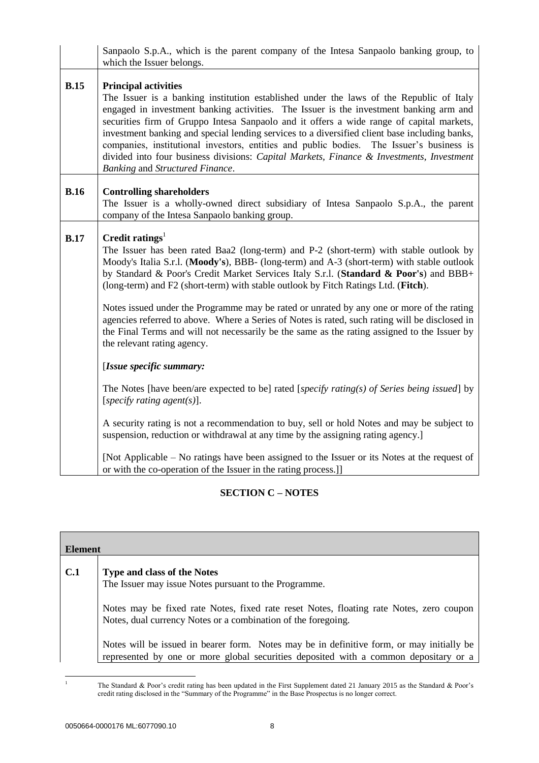|             | Sanpaolo S.p.A., which is the parent company of the Intesa Sanpaolo banking group, to<br>which the Issuer belongs.                                                                                                                                                                                                                                                                                                                                                                                                                                                                                                                       |
|-------------|------------------------------------------------------------------------------------------------------------------------------------------------------------------------------------------------------------------------------------------------------------------------------------------------------------------------------------------------------------------------------------------------------------------------------------------------------------------------------------------------------------------------------------------------------------------------------------------------------------------------------------------|
| <b>B.15</b> | <b>Principal activities</b><br>The Issuer is a banking institution established under the laws of the Republic of Italy<br>engaged in investment banking activities. The Issuer is the investment banking arm and<br>securities firm of Gruppo Intesa Sanpaolo and it offers a wide range of capital markets,<br>investment banking and special lending services to a diversified client base including banks,<br>companies, institutional investors, entities and public bodies. The Issuer's business is<br>divided into four business divisions: Capital Markets, Finance & Investments, Investment<br>Banking and Structured Finance. |
| <b>B.16</b> | <b>Controlling shareholders</b><br>The Issuer is a wholly-owned direct subsidiary of Intesa Sanpaolo S.p.A., the parent<br>company of the Intesa Sanpaolo banking group.                                                                                                                                                                                                                                                                                                                                                                                                                                                                 |
| <b>B.17</b> | Credit ratings <sup>1</sup><br>The Issuer has been rated Baa2 (long-term) and P-2 (short-term) with stable outlook by<br>Moody's Italia S.r.l. (Moody's), BBB- (long-term) and A-3 (short-term) with stable outlook<br>by Standard & Poor's Credit Market Services Italy S.r.l. (Standard & Poor's) and BBB+<br>(long-term) and F2 (short-term) with stable outlook by Fitch Ratings Ltd. (Fitch).                                                                                                                                                                                                                                       |
|             | Notes issued under the Programme may be rated or unrated by any one or more of the rating<br>agencies referred to above. Where a Series of Notes is rated, such rating will be disclosed in<br>the Final Terms and will not necessarily be the same as the rating assigned to the Issuer by<br>the relevant rating agency.                                                                                                                                                                                                                                                                                                               |
|             | [Issue specific summary:                                                                                                                                                                                                                                                                                                                                                                                                                                                                                                                                                                                                                 |
|             | The Notes [have been/are expected to be] rated [specify rating(s) of Series being issued] by<br>[specify rating agent(s)].                                                                                                                                                                                                                                                                                                                                                                                                                                                                                                               |
|             | A security rating is not a recommendation to buy, sell or hold Notes and may be subject to<br>suspension, reduction or withdrawal at any time by the assigning rating agency.]                                                                                                                                                                                                                                                                                                                                                                                                                                                           |
|             | [Not Applicable – No ratings have been assigned to the Issuer or its Notes at the request of<br>or with the co-operation of the Issuer in the rating process.]]                                                                                                                                                                                                                                                                                                                                                                                                                                                                          |

# **SECTION C – NOTES**

| Element |                                                                                                                                                                                   |
|---------|-----------------------------------------------------------------------------------------------------------------------------------------------------------------------------------|
| C.1     | <b>Type and class of the Notes</b>                                                                                                                                                |
|         | The Issuer may issue Notes pursuant to the Programme.                                                                                                                             |
|         | Notes may be fixed rate Notes, fixed rate reset Notes, floating rate Notes, zero coupon<br>Notes, dual currency Notes or a combination of the foregoing.                          |
|         | Notes will be issued in bearer form. Notes may be in definitive form, or may initially be<br>represented by one or more global securities deposited with a common depositary or a |

<sup>1</sup> The Standard & Poor's credit rating has been updated in the First Supplement dated 21 January 2015 as the Standard & Poor's credit rating disclosed in the "Summary of the Programme" in the Base Prospectus is no longer correct.

 $\,1\,$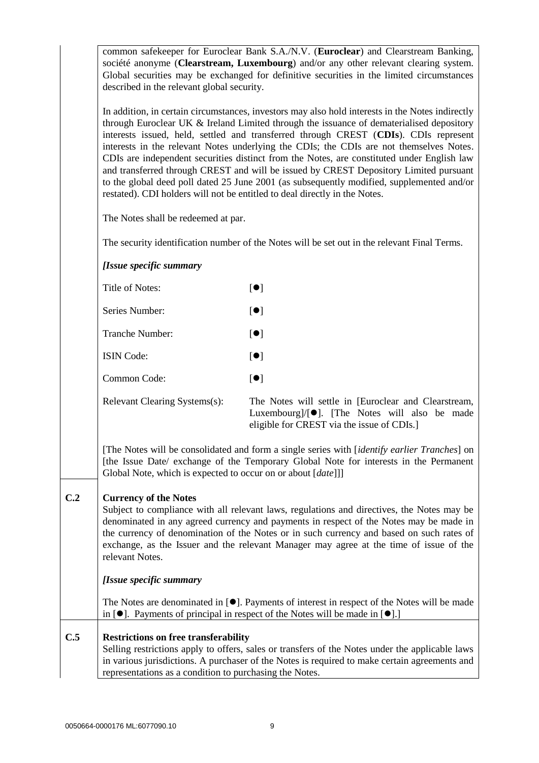common safekeeper for Euroclear Bank S.A./N.V. (**Euroclear**) and Clearstream Banking, société anonyme (**Clearstream, Luxembourg**) and/or any other relevant clearing system. Global securities may be exchanged for definitive securities in the limited circumstances described in the relevant global security.

In addition, in certain circumstances, investors may also hold interests in the Notes indirectly through Euroclear UK & Ireland Limited through the issuance of dematerialised depository interests issued, held, settled and transferred through CREST (**CDIs**). CDIs represent interests in the relevant Notes underlying the CDIs; the CDIs are not themselves Notes. CDIs are independent securities distinct from the Notes, are constituted under English law and transferred through CREST and will be issued by CREST Depository Limited pursuant to the global deed poll dated 25 June 2001 (as subsequently modified, supplemented and/or restated). CDI holders will not be entitled to deal directly in the Notes.

The Notes shall be redeemed at par.

The security identification number of the Notes will be set out in the relevant Final Terms.

### *[Issue specific summary*

| Title of Notes:               | $\bullet$ ]             |
|-------------------------------|-------------------------|
| Series Number:                | $\lceil \bullet \rceil$ |
| Tranche Number:               | $\lceil \bullet \rceil$ |
| <b>ISIN</b> Code:             | $\lceil \bullet \rceil$ |
| Common Code:                  | $\lceil \bullet \rceil$ |
| Relevant Clearing Systems(s): | The                     |

e Notes will settle in [Euroclear and Clearstream, Luxembourg $]/[\bullet]$ . [The Notes will also be made eligible for CREST via the issue of CDIs.]

[The Notes will be consolidated and form a single series with [*identify earlier Tranches*] on [the Issue Date/ exchange of the Temporary Global Note for interests in the Permanent Global Note, which is expected to occur on or about [*date*]]]

### **C.2 Currency of the Notes**

Subject to compliance with all relevant laws, regulations and directives, the Notes may be denominated in any agreed currency and payments in respect of the Notes may be made in the currency of denomination of the Notes or in such currency and based on such rates of exchange, as the Issuer and the relevant Manager may agree at the time of issue of the relevant Notes.

### *[Issue specific summary*

The Notes are denominated in  $[\bullet]$ . Payments of interest in respect of the Notes will be made in  $[\bullet]$ . Payments of principal in respect of the Notes will be made in  $[\bullet]$ .

## **C.5 Restrictions on free transferability** Selling restrictions apply to offers, sales or transfers of the Notes under the applicable laws in various jurisdictions. A purchaser of the Notes is required to make certain agreements and representations as a condition to purchasing the Notes.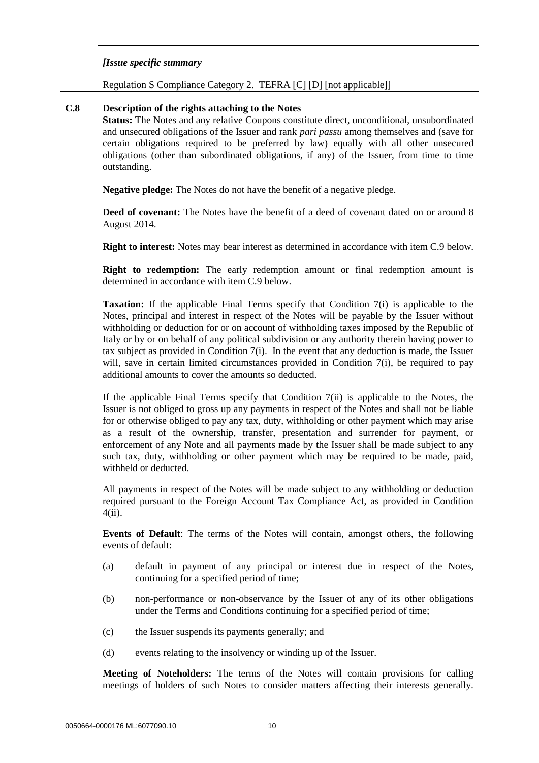|     | [Issue specific summary                                                                                                                                                                                                                                                                                                                                                                                                                                                                                                                                                                                                                                   |
|-----|-----------------------------------------------------------------------------------------------------------------------------------------------------------------------------------------------------------------------------------------------------------------------------------------------------------------------------------------------------------------------------------------------------------------------------------------------------------------------------------------------------------------------------------------------------------------------------------------------------------------------------------------------------------|
|     | Regulation S Compliance Category 2. TEFRA [C] [D] [not applicable]]                                                                                                                                                                                                                                                                                                                                                                                                                                                                                                                                                                                       |
| C.8 | Description of the rights attaching to the Notes<br><b>Status:</b> The Notes and any relative Coupons constitute direct, unconditional, unsubordinated<br>and unsecured obligations of the Issuer and rank pari passu among themselves and (save for<br>certain obligations required to be preferred by law) equally with all other unsecured<br>obligations (other than subordinated obligations, if any) of the Issuer, from time to time<br>outstanding.                                                                                                                                                                                               |
|     | <b>Negative pledge:</b> The Notes do not have the benefit of a negative pledge.                                                                                                                                                                                                                                                                                                                                                                                                                                                                                                                                                                           |
|     | Deed of covenant: The Notes have the benefit of a deed of covenant dated on or around 8<br>August 2014.                                                                                                                                                                                                                                                                                                                                                                                                                                                                                                                                                   |
|     | <b>Right to interest:</b> Notes may bear interest as determined in accordance with item C.9 below.                                                                                                                                                                                                                                                                                                                                                                                                                                                                                                                                                        |
|     | <b>Right to redemption:</b> The early redemption amount or final redemption amount is<br>determined in accordance with item C.9 below.                                                                                                                                                                                                                                                                                                                                                                                                                                                                                                                    |
|     | <b>Taxation:</b> If the applicable Final Terms specify that Condition 7(i) is applicable to the<br>Notes, principal and interest in respect of the Notes will be payable by the Issuer without<br>withholding or deduction for or on account of withholding taxes imposed by the Republic of<br>Italy or by or on behalf of any political subdivision or any authority therein having power to<br>tax subject as provided in Condition $7(i)$ . In the event that any deduction is made, the Issuer<br>will, save in certain limited circumstances provided in Condition 7(i), be required to pay<br>additional amounts to cover the amounts so deducted. |
|     | If the applicable Final Terms specify that Condition $7(ii)$ is applicable to the Notes, the<br>Issuer is not obliged to gross up any payments in respect of the Notes and shall not be liable<br>for or otherwise obliged to pay any tax, duty, withholding or other payment which may arise<br>as a result of the ownership, transfer, presentation and surrender for payment, or<br>enforcement of any Note and all payments made by the Issuer shall be made subject to any<br>such tax, duty, withholding or other payment which may be required to be made, paid,<br>withheld or deducted.                                                          |
|     | All payments in respect of the Notes will be made subject to any withholding or deduction<br>required pursuant to the Foreign Account Tax Compliance Act, as provided in Condition<br>$4(ii)$ .                                                                                                                                                                                                                                                                                                                                                                                                                                                           |
|     | <b>Events of Default:</b> The terms of the Notes will contain, amongst others, the following<br>events of default:                                                                                                                                                                                                                                                                                                                                                                                                                                                                                                                                        |
|     | default in payment of any principal or interest due in respect of the Notes,<br>(a)<br>continuing for a specified period of time;                                                                                                                                                                                                                                                                                                                                                                                                                                                                                                                         |
|     | non-performance or non-observance by the Issuer of any of its other obligations<br>(b)<br>under the Terms and Conditions continuing for a specified period of time;                                                                                                                                                                                                                                                                                                                                                                                                                                                                                       |
|     | (c)<br>the Issuer suspends its payments generally; and                                                                                                                                                                                                                                                                                                                                                                                                                                                                                                                                                                                                    |
|     | (d)<br>events relating to the insolvency or winding up of the Issuer.                                                                                                                                                                                                                                                                                                                                                                                                                                                                                                                                                                                     |
|     | Meeting of Noteholders: The terms of the Notes will contain provisions for calling<br>meetings of holders of such Notes to consider matters affecting their interests generally.                                                                                                                                                                                                                                                                                                                                                                                                                                                                          |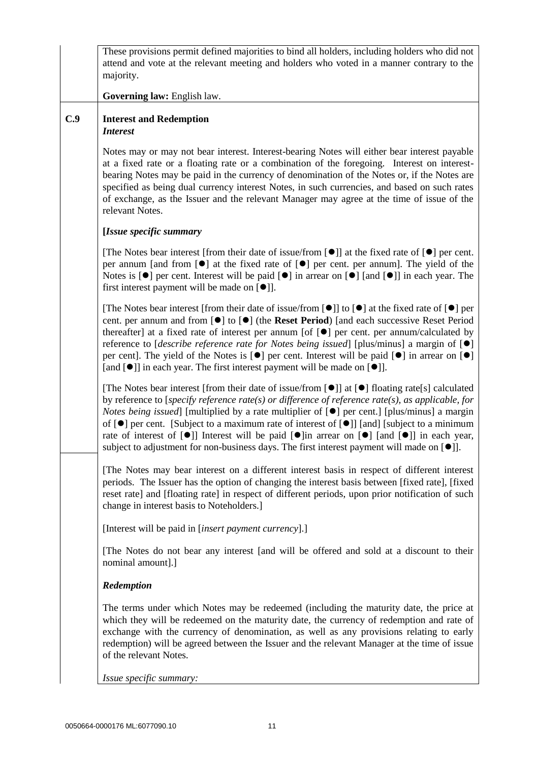|     | These provisions permit defined majorities to bind all holders, including holders who did not<br>attend and vote at the relevant meeting and holders who voted in a manner contrary to the<br>majority.                                                                                                                                                                                                                                                                                                                                                                                                                                                                                  |
|-----|------------------------------------------------------------------------------------------------------------------------------------------------------------------------------------------------------------------------------------------------------------------------------------------------------------------------------------------------------------------------------------------------------------------------------------------------------------------------------------------------------------------------------------------------------------------------------------------------------------------------------------------------------------------------------------------|
|     | Governing law: English law.                                                                                                                                                                                                                                                                                                                                                                                                                                                                                                                                                                                                                                                              |
| C.9 | <b>Interest and Redemption</b><br><b>Interest</b>                                                                                                                                                                                                                                                                                                                                                                                                                                                                                                                                                                                                                                        |
|     | Notes may or may not bear interest. Interest-bearing Notes will either bear interest payable<br>at a fixed rate or a floating rate or a combination of the foregoing. Interest on interest-<br>bearing Notes may be paid in the currency of denomination of the Notes or, if the Notes are<br>specified as being dual currency interest Notes, in such currencies, and based on such rates<br>of exchange, as the Issuer and the relevant Manager may agree at the time of issue of the<br>relevant Notes.                                                                                                                                                                               |
|     | [Issue specific summary                                                                                                                                                                                                                                                                                                                                                                                                                                                                                                                                                                                                                                                                  |
|     | [The Notes bear interest [from their date of issue/from $[\bullet]$ ] at the fixed rate of $[\bullet]$ per cent.<br>per annum [and from $[\bullet]$ ] at the fixed rate of $[\bullet]$ per cent. per annum]. The yield of the<br>Notes is $\lceil \bullet \rceil$ per cent. Interest will be paid $\lceil \bullet \rceil$ in arrear on $\lceil \bullet \rceil$ [and $\lceil \bullet \rceil$ ] in each year. The<br>first interest payment will be made on $[\bullet]$ ].                                                                                                                                                                                                                 |
|     | [The Notes bear interest [from their date of issue/from $[\bullet]$ ] to $[\bullet]$ at the fixed rate of $[\bullet]$ per<br>cent. per annum and from $[\bullet]$ to $[\bullet]$ (the Reset Period) [and each successive Reset Period<br>thereafter] at a fixed rate of interest per annum [of $[\bullet]$ per cent. per annum/calculated by<br>reference to [ <i>describe reference rate for Notes being issued</i> ] [plus/minus] a margin of $[•]$<br>per cent]. The yield of the Notes is $[\bullet]$ per cent. Interest will be paid $[\bullet]$ in arrear on $[\bullet]$<br>[and [ $\bullet$ ]] in each year. The first interest payment will be made on [ $\bullet$ ]].           |
|     | [The Notes bear interest [from their date of issue/from [ $\bullet$ ]] at [ $\bullet$ ] floating rate[s] calculated<br>by reference to [specify reference rate(s) or difference of reference rate(s), as applicable, for<br><i>Notes being issued</i> ] [multiplied by a rate multiplier of $[•]$ per cent.] [plus/minus] a margin<br>of $[\bullet]$ per cent. [Subject to a maximum rate of interest of $[\bullet]$ ] [and] [subject to a minimum<br>rate of interest of $[\bullet]$ Interest will be paid $[\bullet]$ in arrear on $[\bullet]$ [and $[\bullet]$ ] in each year,<br>subject to adjustment for non-business days. The first interest payment will made on [ $\bullet$ ]. |
|     | The Notes may bear interest on a different interest basis in respect of different interest<br>periods. The Issuer has the option of changing the interest basis between [fixed rate], [fixed<br>reset rate] and [floating rate] in respect of different periods, upon prior notification of such<br>change in interest basis to Noteholders.]                                                                                                                                                                                                                                                                                                                                            |
|     | [Interest will be paid in [insert payment currency].]                                                                                                                                                                                                                                                                                                                                                                                                                                                                                                                                                                                                                                    |
|     | [The Notes do not bear any interest [and will be offered and sold at a discount to their<br>nominal amount].]                                                                                                                                                                                                                                                                                                                                                                                                                                                                                                                                                                            |
|     | Redemption                                                                                                                                                                                                                                                                                                                                                                                                                                                                                                                                                                                                                                                                               |
|     | The terms under which Notes may be redeemed (including the maturity date, the price at<br>which they will be redeemed on the maturity date, the currency of redemption and rate of<br>exchange with the currency of denomination, as well as any provisions relating to early<br>redemption) will be agreed between the Issuer and the relevant Manager at the time of issue<br>of the relevant Notes.                                                                                                                                                                                                                                                                                   |
|     | Issue specific summary:                                                                                                                                                                                                                                                                                                                                                                                                                                                                                                                                                                                                                                                                  |
|     |                                                                                                                                                                                                                                                                                                                                                                                                                                                                                                                                                                                                                                                                                          |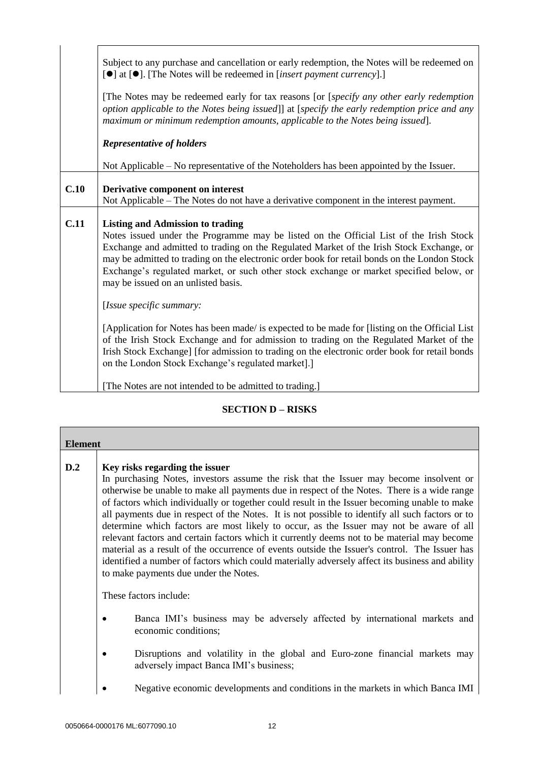|      | Subject to any purchase and cancellation or early redemption, the Notes will be redeemed on<br>[ $\bullet$ ] at [ $\bullet$ ]. [The Notes will be redeemed in [insert payment currency].]<br>[The Notes may be redeemed early for tax reasons [or [specify any other early redemption<br>option applicable to the Notes being issued]] at [specify the early redemption price and any<br>maximum or minimum redemption amounts, applicable to the Notes being issued]. |
|------|------------------------------------------------------------------------------------------------------------------------------------------------------------------------------------------------------------------------------------------------------------------------------------------------------------------------------------------------------------------------------------------------------------------------------------------------------------------------|
|      | <b>Representative of holders</b>                                                                                                                                                                                                                                                                                                                                                                                                                                       |
|      | Not Applicable – No representative of the Noteholders has been appointed by the Issuer.                                                                                                                                                                                                                                                                                                                                                                                |
| C.10 | Derivative component on interest<br>Not Applicable – The Notes do not have a derivative component in the interest payment.                                                                                                                                                                                                                                                                                                                                             |
| C.11 | <b>Listing and Admission to trading</b><br>Notes issued under the Programme may be listed on the Official List of the Irish Stock<br>Exchange and admitted to trading on the Regulated Market of the Irish Stock Exchange, or<br>may be admitted to trading on the electronic order book for retail bonds on the London Stock<br>Exchange's regulated market, or such other stock exchange or market specified below, or<br>may be issued on an unlisted basis.        |
|      | [Issue specific summary:                                                                                                                                                                                                                                                                                                                                                                                                                                               |
|      | [Application for Notes has been made/ is expected to be made for [listing on the Official List]<br>of the Irish Stock Exchange and for admission to trading on the Regulated Market of the<br>Irish Stock Exchange] [for admission to trading on the electronic order book for retail bonds<br>on the London Stock Exchange's regulated market].]                                                                                                                      |

[The Notes are not intended to be admitted to trading.]

# **SECTION D – RISKS**

| <b>Element</b> |                                                                                                                                                                                                                                                                                                                                                                                                                                                                                                                                                                                                                                                                                                                                                                                                                                                                   |
|----------------|-------------------------------------------------------------------------------------------------------------------------------------------------------------------------------------------------------------------------------------------------------------------------------------------------------------------------------------------------------------------------------------------------------------------------------------------------------------------------------------------------------------------------------------------------------------------------------------------------------------------------------------------------------------------------------------------------------------------------------------------------------------------------------------------------------------------------------------------------------------------|
| D.2            | Key risks regarding the issuer<br>In purchasing Notes, investors assume the risk that the Issuer may become insolvent or<br>otherwise be unable to make all payments due in respect of the Notes. There is a wide range<br>of factors which individually or together could result in the Issuer becoming unable to make<br>all payments due in respect of the Notes. It is not possible to identify all such factors or to<br>determine which factors are most likely to occur, as the Issuer may not be aware of all<br>relevant factors and certain factors which it currently deems not to be material may become<br>material as a result of the occurrence of events outside the Issuer's control. The Issuer has<br>identified a number of factors which could materially adversely affect its business and ability<br>to make payments due under the Notes. |
|                | These factors include:                                                                                                                                                                                                                                                                                                                                                                                                                                                                                                                                                                                                                                                                                                                                                                                                                                            |
|                | Banca IMI's business may be adversely affected by international markets and<br>economic conditions;                                                                                                                                                                                                                                                                                                                                                                                                                                                                                                                                                                                                                                                                                                                                                               |
|                | Disruptions and volatility in the global and Euro-zone financial markets may<br>adversely impact Banca IMI's business;                                                                                                                                                                                                                                                                                                                                                                                                                                                                                                                                                                                                                                                                                                                                            |
|                | Negative economic developments and conditions in the markets in which Banca IMI                                                                                                                                                                                                                                                                                                                                                                                                                                                                                                                                                                                                                                                                                                                                                                                   |

 $\overline{\phantom{a}}$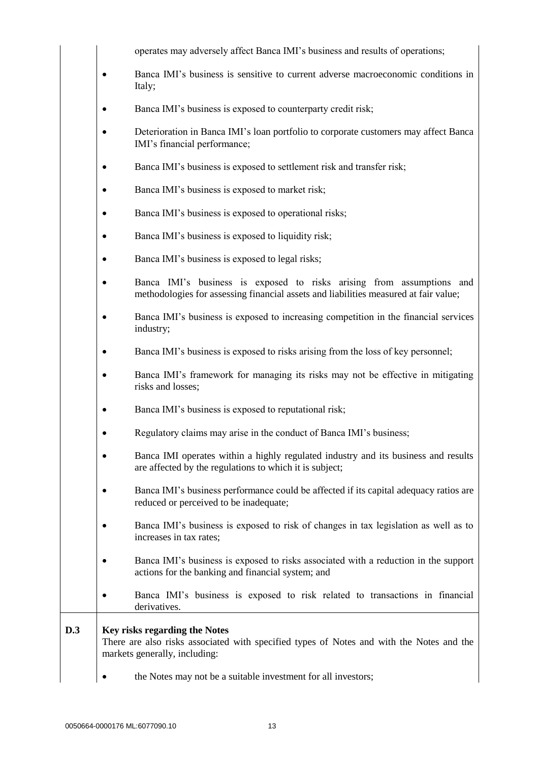|            | operates may adversely affect Banca IMI's business and results of operations;                                                                                 |
|------------|---------------------------------------------------------------------------------------------------------------------------------------------------------------|
|            | Banca IMI's business is sensitive to current adverse macroeconomic conditions in<br>Italy;                                                                    |
|            | Banca IMI's business is exposed to counterparty credit risk;                                                                                                  |
|            | Deterioration in Banca IMI's loan portfolio to corporate customers may affect Banca<br>IMI's financial performance;                                           |
|            | Banca IMI's business is exposed to settlement risk and transfer risk;                                                                                         |
|            | Banca IMI's business is exposed to market risk;                                                                                                               |
|            | Banca IMI's business is exposed to operational risks;                                                                                                         |
|            | Banca IMI's business is exposed to liquidity risk;                                                                                                            |
|            | Banca IMI's business is exposed to legal risks;                                                                                                               |
|            | Banca IMI's business is exposed to risks arising from assumptions and<br>methodologies for assessing financial assets and liabilities measured at fair value; |
|            | Banca IMI's business is exposed to increasing competition in the financial services<br>industry;                                                              |
|            | Banca IMI's business is exposed to risks arising from the loss of key personnel;                                                                              |
|            | Banca IMI's framework for managing its risks may not be effective in mitigating<br>risks and losses;                                                          |
|            | Banca IMI's business is exposed to reputational risk;                                                                                                         |
|            | Regulatory claims may arise in the conduct of Banca IMI's business;                                                                                           |
|            | Banca IMI operates within a highly regulated industry and its business and results<br>are affected by the regulations to which it is subject;                 |
|            | Banca IMI's business performance could be affected if its capital adequacy ratios are<br>reduced or perceived to be inadequate;                               |
|            | Banca IMI's business is exposed to risk of changes in tax legislation as well as to<br>increases in tax rates;                                                |
|            | Banca IMI's business is exposed to risks associated with a reduction in the support<br>actions for the banking and financial system; and                      |
|            | Banca IMI's business is exposed to risk related to transactions in financial<br>derivatives.                                                                  |
| <b>D.3</b> | Key risks regarding the Notes<br>There are also risks associated with specified types of Notes and with the Notes and the<br>markets generally, including:    |
|            | the Notes may not be a suitable investment for all investors;                                                                                                 |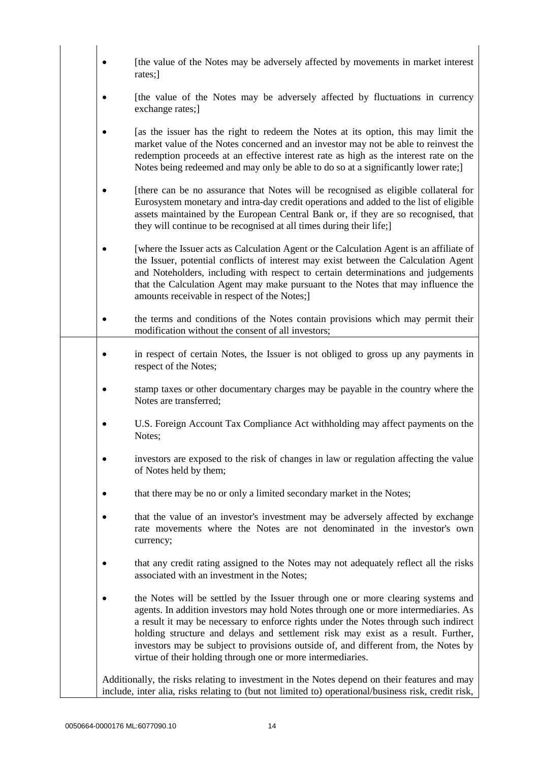|   | [the value of the Notes may be adversely affected by movements in market interest<br>rates;]                                                                                                                                                                                                                                                                                                                                                                                                              |
|---|-----------------------------------------------------------------------------------------------------------------------------------------------------------------------------------------------------------------------------------------------------------------------------------------------------------------------------------------------------------------------------------------------------------------------------------------------------------------------------------------------------------|
|   | [the value of the Notes may be adversely affected by fluctuations in currency<br>exchange rates;                                                                                                                                                                                                                                                                                                                                                                                                          |
|   | [as the issuer has the right to redeem the Notes at its option, this may limit the<br>market value of the Notes concerned and an investor may not be able to reinvest the<br>redemption proceeds at an effective interest rate as high as the interest rate on the<br>Notes being redeemed and may only be able to do so at a significantly lower rate;                                                                                                                                                   |
|   | [there can be no assurance that Notes will be recognised as eligible collateral for<br>Eurosystem monetary and intra-day credit operations and added to the list of eligible<br>assets maintained by the European Central Bank or, if they are so recognised, that<br>they will continue to be recognised at all times during their life;]                                                                                                                                                                |
|   | [where the Issuer acts as Calculation Agent or the Calculation Agent is an affiliate of<br>the Issuer, potential conflicts of interest may exist between the Calculation Agent<br>and Noteholders, including with respect to certain determinations and judgements<br>that the Calculation Agent may make pursuant to the Notes that may influence the<br>amounts receivable in respect of the Notes;]                                                                                                    |
|   | the terms and conditions of the Notes contain provisions which may permit their<br>modification without the consent of all investors;                                                                                                                                                                                                                                                                                                                                                                     |
|   | in respect of certain Notes, the Issuer is not obliged to gross up any payments in<br>respect of the Notes;                                                                                                                                                                                                                                                                                                                                                                                               |
|   | stamp taxes or other documentary charges may be payable in the country where the<br>Notes are transferred;                                                                                                                                                                                                                                                                                                                                                                                                |
|   | U.S. Foreign Account Tax Compliance Act withholding may affect payments on the<br>Notes;                                                                                                                                                                                                                                                                                                                                                                                                                  |
| ٠ | investors are exposed to the risk of changes in law or regulation affecting the value<br>of Notes held by them;                                                                                                                                                                                                                                                                                                                                                                                           |
|   | that there may be no or only a limited secondary market in the Notes;                                                                                                                                                                                                                                                                                                                                                                                                                                     |
|   | that the value of an investor's investment may be adversely affected by exchange<br>rate movements where the Notes are not denominated in the investor's own<br>currency;                                                                                                                                                                                                                                                                                                                                 |
|   | that any credit rating assigned to the Notes may not adequately reflect all the risks<br>associated with an investment in the Notes;                                                                                                                                                                                                                                                                                                                                                                      |
|   | the Notes will be settled by the Issuer through one or more clearing systems and<br>agents. In addition investors may hold Notes through one or more intermediaries. As<br>a result it may be necessary to enforce rights under the Notes through such indirect<br>holding structure and delays and settlement risk may exist as a result. Further,<br>investors may be subject to provisions outside of, and different from, the Notes by<br>virtue of their holding through one or more intermediaries. |
|   | Additionally, the risks relating to investment in the Notes depend on their features and may<br>include, inter alia, risks relating to (but not limited to) operational/business risk, credit risk,                                                                                                                                                                                                                                                                                                       |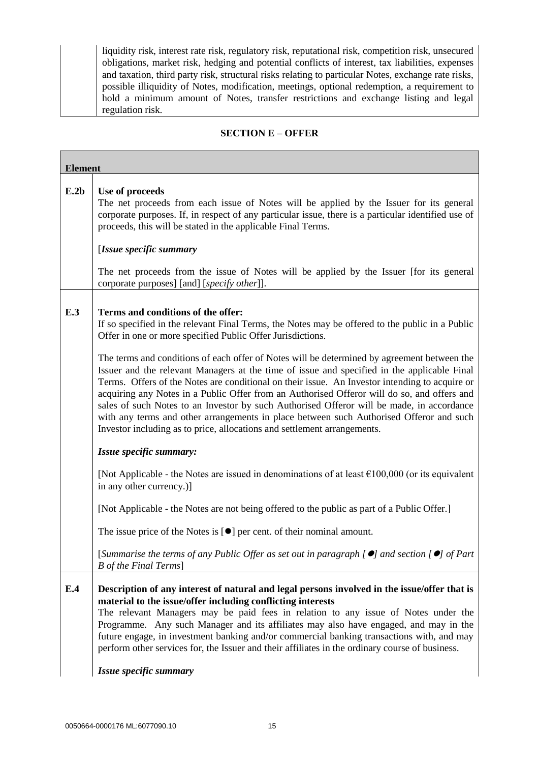| liquidity risk, interest rate risk, regulatory risk, reputational risk, competition risk, unsecured |
|-----------------------------------------------------------------------------------------------------|
| obligations, market risk, hedging and potential conflicts of interest, tax liabilities, expenses    |
| and taxation, third party risk, structural risks relating to particular Notes, exchange rate risks, |
| possible illiquidity of Notes, modification, meetings, optional redemption, a requirement to        |
| hold a minimum amount of Notes, transfer restrictions and exchange listing and legal                |
| regulation risk.                                                                                    |

۰

## **SECTION E – OFFER**

| <b>Element</b> |                                                                                                                                                                                                                                                                                                                                                                                                                                                                                                                                                                                                                                                                 |  |
|----------------|-----------------------------------------------------------------------------------------------------------------------------------------------------------------------------------------------------------------------------------------------------------------------------------------------------------------------------------------------------------------------------------------------------------------------------------------------------------------------------------------------------------------------------------------------------------------------------------------------------------------------------------------------------------------|--|
| E.2b           | Use of proceeds<br>The net proceeds from each issue of Notes will be applied by the Issuer for its general<br>corporate purposes. If, in respect of any particular issue, there is a particular identified use of<br>proceeds, this will be stated in the applicable Final Terms.<br>[Issue specific summary<br>The net proceeds from the issue of Notes will be applied by the Issuer [for its general                                                                                                                                                                                                                                                         |  |
| E.3            | corporate purposes] [and] [specify other]].<br>Terms and conditions of the offer:<br>If so specified in the relevant Final Terms, the Notes may be offered to the public in a Public<br>Offer in one or more specified Public Offer Jurisdictions.                                                                                                                                                                                                                                                                                                                                                                                                              |  |
|                | The terms and conditions of each offer of Notes will be determined by agreement between the<br>Issuer and the relevant Managers at the time of issue and specified in the applicable Final<br>Terms. Offers of the Notes are conditional on their issue. An Investor intending to acquire or<br>acquiring any Notes in a Public Offer from an Authorised Offeror will do so, and offers and<br>sales of such Notes to an Investor by such Authorised Offeror will be made, in accordance<br>with any terms and other arrangements in place between such Authorised Offeror and such<br>Investor including as to price, allocations and settlement arrangements. |  |
|                | Issue specific summary:                                                                                                                                                                                                                                                                                                                                                                                                                                                                                                                                                                                                                                         |  |
|                | [Not Applicable - the Notes are issued in denominations of at least $\epsilon$ 100,000 (or its equivalent<br>in any other currency.)]                                                                                                                                                                                                                                                                                                                                                                                                                                                                                                                           |  |
|                | [Not Applicable - the Notes are not being offered to the public as part of a Public Offer.]                                                                                                                                                                                                                                                                                                                                                                                                                                                                                                                                                                     |  |
|                | The issue price of the Notes is $[\bullet]$ per cent. of their nominal amount.                                                                                                                                                                                                                                                                                                                                                                                                                                                                                                                                                                                  |  |
|                | [Summarise the terms of any Public Offer as set out in paragraph $[$ $\bullet]$ and section $[$ $\bullet]$ of Part<br>B of the Final Terms]                                                                                                                                                                                                                                                                                                                                                                                                                                                                                                                     |  |
| E.4            | Description of any interest of natural and legal persons involved in the issue/offer that is<br>material to the issue/offer including conflicting interests<br>The relevant Managers may be paid fees in relation to any issue of Notes under the<br>Programme. Any such Manager and its affiliates may also have engaged, and may in the<br>future engage, in investment banking and/or commercial banking transactions with, and may<br>perform other services for, the Issuer and their affiliates in the ordinary course of business.<br>Issue specific summary                                                                                             |  |
|                |                                                                                                                                                                                                                                                                                                                                                                                                                                                                                                                                                                                                                                                                 |  |

Г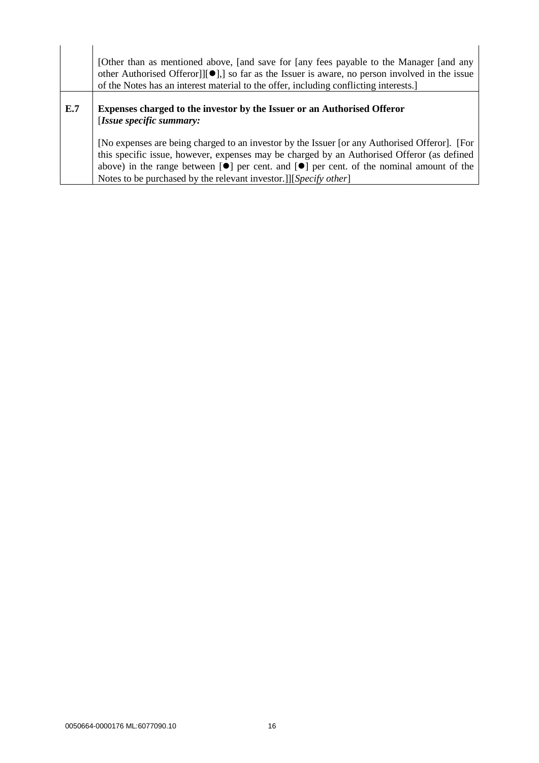|     | [Other than as mentioned above, [and save for [any fees payable to the Manager [and any<br>other Authorised Offeror]] $[•]$ ] so far as the Issuer is aware, no person involved in the issue<br>of the Notes has an interest material to the offer, including conflicting interests.                                                                                        |
|-----|-----------------------------------------------------------------------------------------------------------------------------------------------------------------------------------------------------------------------------------------------------------------------------------------------------------------------------------------------------------------------------|
| E.7 | <b>Expenses charged to the investor by the Issuer or an Authorised Offeror</b><br>[Issue specific summary:                                                                                                                                                                                                                                                                  |
|     | [No expenses are being charged to an investor by the Issuer [or any Authorised Offeror]. [For<br>this specific issue, however, expenses may be charged by an Authorised Offeror (as defined<br>above) in the range between $[\bullet]$ per cent. and $[\bullet]$ per cent. of the nominal amount of the<br>Notes to be purchased by the relevant investor.]][Specify other] |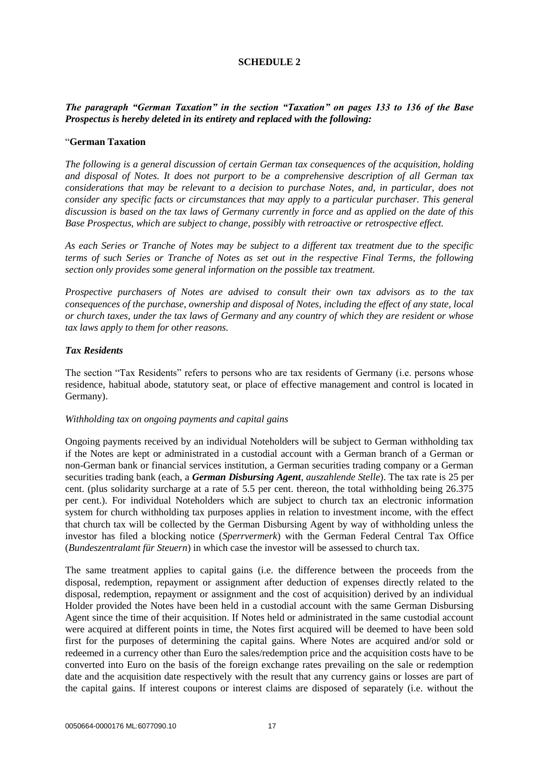### **SCHEDULE 2**

## *The paragraph "German Taxation" in the section "Taxation" on pages 133 to 136 of the Base Prospectus is hereby deleted in its entirety and replaced with the following:*

#### "**German Taxation**

*The following is a general discussion of certain German tax consequences of the acquisition, holding and disposal of Notes. It does not purport to be a comprehensive description of all German tax considerations that may be relevant to a decision to purchase Notes, and, in particular, does not consider any specific facts or circumstances that may apply to a particular purchaser. This general discussion is based on the tax laws of Germany currently in force and as applied on the date of this Base Prospectus, which are subject to change, possibly with retroactive or retrospective effect.* 

*As each Series or Tranche of Notes may be subject to a different tax treatment due to the specific terms of such Series or Tranche of Notes as set out in the respective Final Terms, the following section only provides some general information on the possible tax treatment.* 

*Prospective purchasers of Notes are advised to consult their own tax advisors as to the tax consequences of the purchase, ownership and disposal of Notes, including the effect of any state, local or church taxes, under the tax laws of Germany and any country of which they are resident or whose tax laws apply to them for other reasons.* 

#### *Tax Residents*

The section "Tax Residents" refers to persons who are tax residents of Germany (i.e. persons whose residence, habitual abode, statutory seat, or place of effective management and control is located in Germany).

### *Withholding tax on ongoing payments and capital gains*

Ongoing payments received by an individual Noteholders will be subject to German withholding tax if the Notes are kept or administrated in a custodial account with a German branch of a German or non-German bank or financial services institution, a German securities trading company or a German securities trading bank (each, a *German Disbursing Agent*, *auszahlende Stelle*). The tax rate is 25 per cent. (plus solidarity surcharge at a rate of 5.5 per cent. thereon, the total withholding being 26.375 per cent.). For individual Noteholders which are subject to church tax an electronic information system for church withholding tax purposes applies in relation to investment income, with the effect that church tax will be collected by the German Disbursing Agent by way of withholding unless the investor has filed a blocking notice (*Sperrvermerk*) with the German Federal Central Tax Office (*Bundeszentralamt für Steuern*) in which case the investor will be assessed to church tax.

The same treatment applies to capital gains (i.e. the difference between the proceeds from the disposal, redemption, repayment or assignment after deduction of expenses directly related to the disposal, redemption, repayment or assignment and the cost of acquisition) derived by an individual Holder provided the Notes have been held in a custodial account with the same German Disbursing Agent since the time of their acquisition. If Notes held or administrated in the same custodial account were acquired at different points in time, the Notes first acquired will be deemed to have been sold first for the purposes of determining the capital gains. Where Notes are acquired and/or sold or redeemed in a currency other than Euro the sales/redemption price and the acquisition costs have to be converted into Euro on the basis of the foreign exchange rates prevailing on the sale or redemption date and the acquisition date respectively with the result that any currency gains or losses are part of the capital gains. If interest coupons or interest claims are disposed of separately (i.e. without the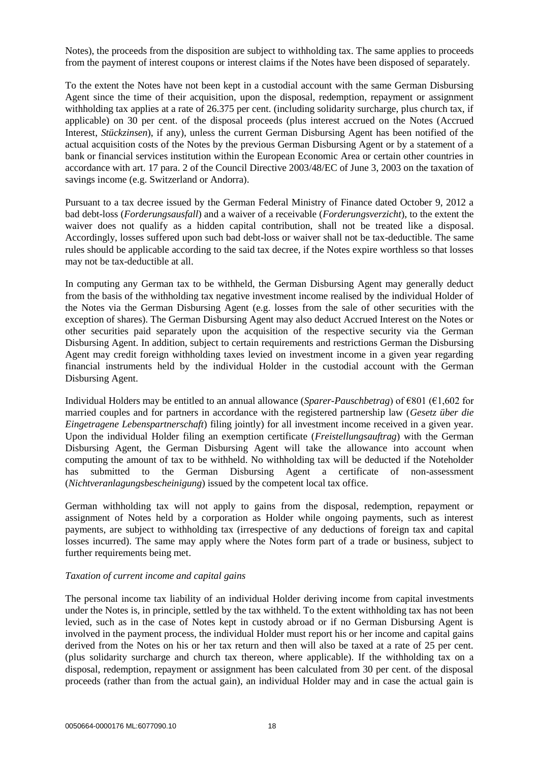Notes), the proceeds from the disposition are subject to withholding tax. The same applies to proceeds from the payment of interest coupons or interest claims if the Notes have been disposed of separately.

To the extent the Notes have not been kept in a custodial account with the same German Disbursing Agent since the time of their acquisition, upon the disposal, redemption, repayment or assignment withholding tax applies at a rate of 26.375 per cent. (including solidarity surcharge, plus church tax, if applicable) on 30 per cent. of the disposal proceeds (plus interest accrued on the Notes (Accrued Interest, *Stückzinsen*), if any), unless the current German Disbursing Agent has been notified of the actual acquisition costs of the Notes by the previous German Disbursing Agent or by a statement of a bank or financial services institution within the European Economic Area or certain other countries in accordance with art. 17 para. 2 of the Council Directive 2003/48/EC of June 3, 2003 on the taxation of savings income (e.g. Switzerland or Andorra).

Pursuant to a tax decree issued by the German Federal Ministry of Finance dated October 9, 2012 a bad debt-loss (*Forderungsausfall*) and a waiver of a receivable (*Forderungsverzicht*), to the extent the waiver does not qualify as a hidden capital contribution, shall not be treated like a disposal. Accordingly, losses suffered upon such bad debt-loss or waiver shall not be tax-deductible. The same rules should be applicable according to the said tax decree, if the Notes expire worthless so that losses may not be tax-deductible at all.

In computing any German tax to be withheld, the German Disbursing Agent may generally deduct from the basis of the withholding tax negative investment income realised by the individual Holder of the Notes via the German Disbursing Agent (e.g. losses from the sale of other securities with the exception of shares). The German Disbursing Agent may also deduct Accrued Interest on the Notes or other securities paid separately upon the acquisition of the respective security via the German Disbursing Agent. In addition, subject to certain requirements and restrictions German the Disbursing Agent may credit foreign withholding taxes levied on investment income in a given year regarding financial instruments held by the individual Holder in the custodial account with the German Disbursing Agent.

Individual Holders may be entitled to an annual allowance (*Sparer-Pauschbetrag*) of €801 (€1,602 for married couples and for partners in accordance with the registered partnership law (*Gesetz über die Eingetragene Lebenspartnerschaft*) filing jointly) for all investment income received in a given year. Upon the individual Holder filing an exemption certificate (*Freistellungsauftrag*) with the German Disbursing Agent, the German Disbursing Agent will take the allowance into account when computing the amount of tax to be withheld. No withholding tax will be deducted if the Noteholder has submitted to the German Disbursing Agent a certificate of non-assessment (*Nichtveranlagungsbescheinigung*) issued by the competent local tax office.

German withholding tax will not apply to gains from the disposal, redemption, repayment or assignment of Notes held by a corporation as Holder while ongoing payments, such as interest payments, are subject to withholding tax (irrespective of any deductions of foreign tax and capital losses incurred). The same may apply where the Notes form part of a trade or business, subject to further requirements being met.

### *Taxation of current income and capital gains*

The personal income tax liability of an individual Holder deriving income from capital investments under the Notes is, in principle, settled by the tax withheld. To the extent withholding tax has not been levied, such as in the case of Notes kept in custody abroad or if no German Disbursing Agent is involved in the payment process, the individual Holder must report his or her income and capital gains derived from the Notes on his or her tax return and then will also be taxed at a rate of 25 per cent. (plus solidarity surcharge and church tax thereon, where applicable). If the withholding tax on a disposal, redemption, repayment or assignment has been calculated from 30 per cent. of the disposal proceeds (rather than from the actual gain), an individual Holder may and in case the actual gain is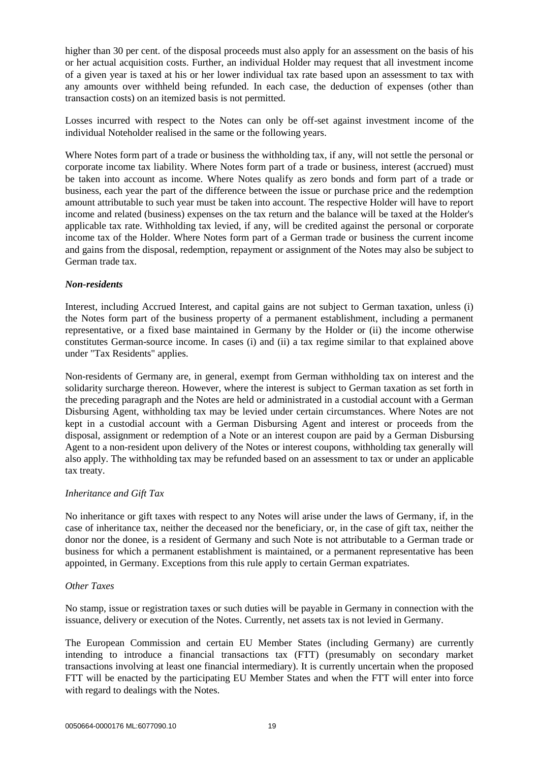higher than 30 per cent. of the disposal proceeds must also apply for an assessment on the basis of his or her actual acquisition costs. Further, an individual Holder may request that all investment income of a given year is taxed at his or her lower individual tax rate based upon an assessment to tax with any amounts over withheld being refunded. In each case, the deduction of expenses (other than transaction costs) on an itemized basis is not permitted.

Losses incurred with respect to the Notes can only be off-set against investment income of the individual Noteholder realised in the same or the following years.

Where Notes form part of a trade or business the withholding tax, if any, will not settle the personal or corporate income tax liability. Where Notes form part of a trade or business, interest (accrued) must be taken into account as income. Where Notes qualify as zero bonds and form part of a trade or business, each year the part of the difference between the issue or purchase price and the redemption amount attributable to such year must be taken into account. The respective Holder will have to report income and related (business) expenses on the tax return and the balance will be taxed at the Holder's applicable tax rate. Withholding tax levied, if any, will be credited against the personal or corporate income tax of the Holder. Where Notes form part of a German trade or business the current income and gains from the disposal, redemption, repayment or assignment of the Notes may also be subject to German trade tax.

### *Non-residents*

Interest, including Accrued Interest, and capital gains are not subject to German taxation, unless (i) the Notes form part of the business property of a permanent establishment, including a permanent representative, or a fixed base maintained in Germany by the Holder or (ii) the income otherwise constitutes German-source income. In cases (i) and (ii) a tax regime similar to that explained above under "Tax Residents" applies.

Non-residents of Germany are, in general, exempt from German withholding tax on interest and the solidarity surcharge thereon. However, where the interest is subject to German taxation as set forth in the preceding paragraph and the Notes are held or administrated in a custodial account with a German Disbursing Agent, withholding tax may be levied under certain circumstances. Where Notes are not kept in a custodial account with a German Disbursing Agent and interest or proceeds from the disposal, assignment or redemption of a Note or an interest coupon are paid by a German Disbursing Agent to a non-resident upon delivery of the Notes or interest coupons, withholding tax generally will also apply. The withholding tax may be refunded based on an assessment to tax or under an applicable tax treaty.

#### *Inheritance and Gift Tax*

No inheritance or gift taxes with respect to any Notes will arise under the laws of Germany, if, in the case of inheritance tax, neither the deceased nor the beneficiary, or, in the case of gift tax, neither the donor nor the donee, is a resident of Germany and such Note is not attributable to a German trade or business for which a permanent establishment is maintained, or a permanent representative has been appointed, in Germany. Exceptions from this rule apply to certain German expatriates.

### *Other Taxes*

No stamp, issue or registration taxes or such duties will be payable in Germany in connection with the issuance, delivery or execution of the Notes. Currently, net assets tax is not levied in Germany.

The European Commission and certain EU Member States (including Germany) are currently intending to introduce a financial transactions tax (FTT) (presumably on secondary market transactions involving at least one financial intermediary). It is currently uncertain when the proposed FTT will be enacted by the participating EU Member States and when the FTT will enter into force with regard to dealings with the Notes.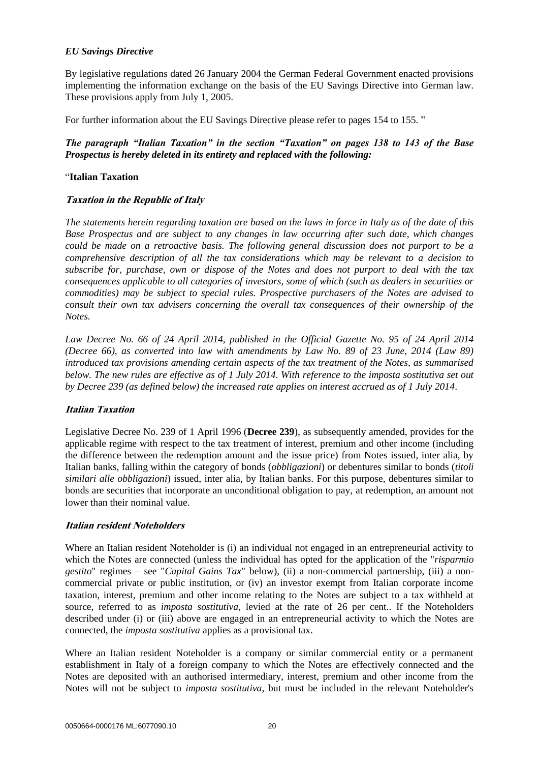## *EU Savings Directive*

By legislative regulations dated 26 January 2004 the German Federal Government enacted provisions implementing the information exchange on the basis of the EU Savings Directive into German law. These provisions apply from July 1, 2005.

For further information about the EU Savings Directive please refer to pages 154 to 155. "

## *The paragraph "Italian Taxation" in the section "Taxation" on pages 138 to 143 of the Base Prospectus is hereby deleted in its entirety and replaced with the following:*

## "**Italian Taxation**

## **Taxation in the Republic of Italy**

*The statements herein regarding taxation are based on the laws in force in Italy as of the date of this Base Prospectus and are subject to any changes in law occurring after such date, which changes could be made on a retroactive basis. The following general discussion does not purport to be a comprehensive description of all the tax considerations which may be relevant to a decision to subscribe for, purchase, own or dispose of the Notes and does not purport to deal with the tax consequences applicable to all categories of investors, some of which (such as dealers in securities or commodities) may be subject to special rules. Prospective purchasers of the Notes are advised to consult their own tax advisers concerning the overall tax consequences of their ownership of the Notes.*

*Law Decree No. 66 of 24 April 2014, published in the Official Gazette No. 95 of 24 April 2014 (Decree 66), as converted into law with amendments by Law No. 89 of 23 June, 2014 (Law 89) introduced tax provisions amending certain aspects of the tax treatment of the Notes, as summarised below. The new rules are effective as of 1 July 2014. With reference to the imposta sostitutiva set out by Decree 239 (as defined below) the increased rate applies on interest accrued as of 1 July 2014*.

### **Italian Taxation**

Legislative Decree No. 239 of 1 April 1996 (**Decree 239**), as subsequently amended, provides for the applicable regime with respect to the tax treatment of interest, premium and other income (including the difference between the redemption amount and the issue price) from Notes issued, inter alia, by Italian banks, falling within the category of bonds (*obbligazioni*) or debentures similar to bonds (*titoli similari alle obbligazioni*) issued, inter alia, by Italian banks. For this purpose, debentures similar to bonds are securities that incorporate an unconditional obligation to pay, at redemption, an amount not lower than their nominal value.

### **Italian resident Noteholders**

Where an Italian resident Noteholder is (i) an individual not engaged in an entrepreneurial activity to which the Notes are connected (unless the individual has opted for the application of the "*risparmio gestito*" regimes – see "*Capital Gains Tax*" below), (ii) a non-commercial partnership, (iii) a noncommercial private or public institution, or (iv) an investor exempt from Italian corporate income taxation, interest, premium and other income relating to the Notes are subject to a tax withheld at source, referred to as *imposta sostitutiva*, levied at the rate of 26 per cent.. If the Noteholders described under (i) or (iii) above are engaged in an entrepreneurial activity to which the Notes are connected, the *imposta sostitutiva* applies as a provisional tax.

Where an Italian resident Noteholder is a company or similar commercial entity or a permanent establishment in Italy of a foreign company to which the Notes are effectively connected and the Notes are deposited with an authorised intermediary, interest, premium and other income from the Notes will not be subject to *imposta sostitutiva*, but must be included in the relevant Noteholder's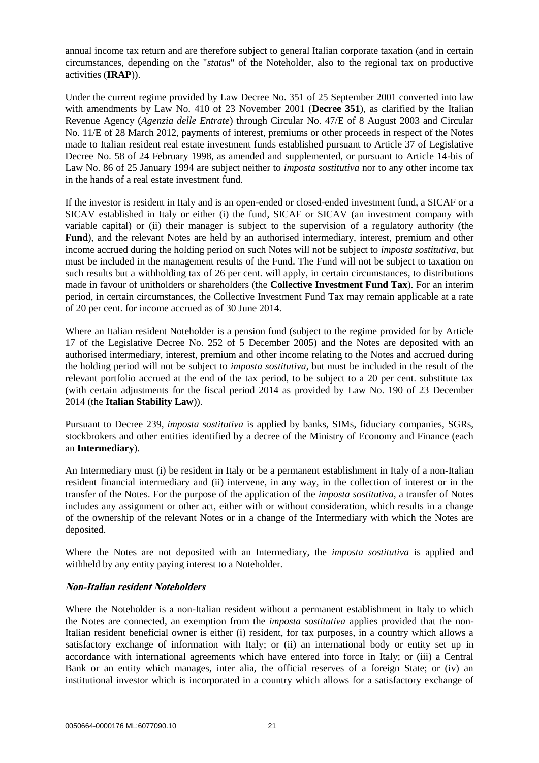annual income tax return and are therefore subject to general Italian corporate taxation (and in certain circumstances, depending on the "*statu*s" of the Noteholder, also to the regional tax on productive activities (**IRAP**)).

Under the current regime provided by Law Decree No. 351 of 25 September 2001 converted into law with amendments by Law No. 410 of 23 November 2001 (**Decree 351**), as clarified by the Italian Revenue Agency (*Agenzia delle Entrate*) through Circular No. 47/E of 8 August 2003 and Circular No. 11/E of 28 March 2012, payments of interest, premiums or other proceeds in respect of the Notes made to Italian resident real estate investment funds established pursuant to Article 37 of Legislative Decree No. 58 of 24 February 1998, as amended and supplemented, or pursuant to Article 14-bis of Law No. 86 of 25 January 1994 are subject neither to *imposta sostitutiva* nor to any other income tax in the hands of a real estate investment fund.

If the investor is resident in Italy and is an open-ended or closed-ended investment fund, a SICAF or a SICAV established in Italy or either (i) the fund, SICAF or SICAV (an investment company with variable capital) or (ii) their manager is subject to the supervision of a regulatory authority (the **Fund**), and the relevant Notes are held by an authorised intermediary, interest, premium and other income accrued during the holding period on such Notes will not be subject to *imposta sostitutiva*, but must be included in the management results of the Fund. The Fund will not be subject to taxation on such results but a withholding tax of 26 per cent. will apply, in certain circumstances, to distributions made in favour of unitholders or shareholders (the **Collective Investment Fund Tax**). For an interim period, in certain circumstances, the Collective Investment Fund Tax may remain applicable at a rate of 20 per cent. for income accrued as of 30 June 2014.

Where an Italian resident Noteholder is a pension fund (subject to the regime provided for by Article 17 of the Legislative Decree No. 252 of 5 December 2005) and the Notes are deposited with an authorised intermediary, interest, premium and other income relating to the Notes and accrued during the holding period will not be subject to *imposta sostitutiva*, but must be included in the result of the relevant portfolio accrued at the end of the tax period, to be subject to a 20 per cent. substitute tax (with certain adjustments for the fiscal period 2014 as provided by Law No. 190 of 23 December 2014 (the **Italian Stability Law**)).

Pursuant to Decree 239, *imposta sostitutiva* is applied by banks, SIMs, fiduciary companies, SGRs, stockbrokers and other entities identified by a decree of the Ministry of Economy and Finance (each an **Intermediary**).

An Intermediary must (i) be resident in Italy or be a permanent establishment in Italy of a non-Italian resident financial intermediary and (ii) intervene, in any way, in the collection of interest or in the transfer of the Notes. For the purpose of the application of the *imposta sostitutiva*, a transfer of Notes includes any assignment or other act, either with or without consideration, which results in a change of the ownership of the relevant Notes or in a change of the Intermediary with which the Notes are deposited.

Where the Notes are not deposited with an Intermediary, the *imposta sostitutiva* is applied and withheld by any entity paying interest to a Noteholder.

### **Non-Italian resident Noteholders**

Where the Noteholder is a non-Italian resident without a permanent establishment in Italy to which the Notes are connected, an exemption from the *imposta sostitutiva* applies provided that the non-Italian resident beneficial owner is either (i) resident, for tax purposes, in a country which allows a satisfactory exchange of information with Italy; or (ii) an international body or entity set up in accordance with international agreements which have entered into force in Italy; or (iii) a Central Bank or an entity which manages, inter alia, the official reserves of a foreign State; or (iv) an institutional investor which is incorporated in a country which allows for a satisfactory exchange of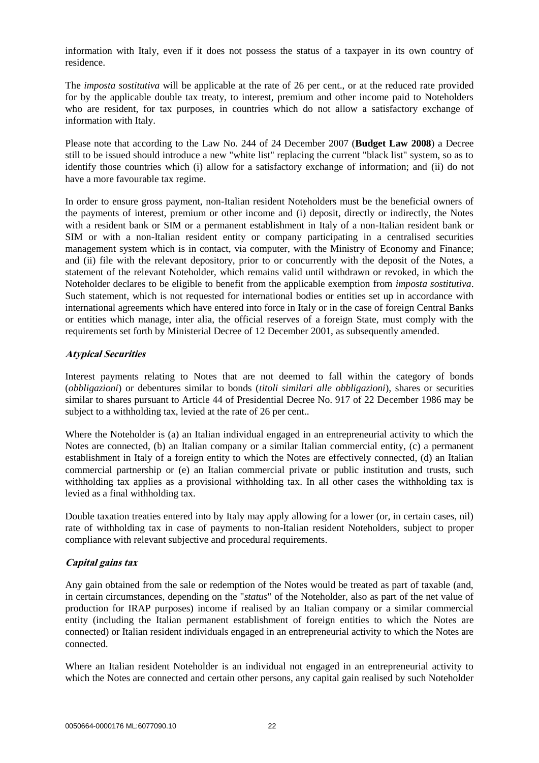information with Italy, even if it does not possess the status of a taxpayer in its own country of residence.

The *imposta sostitutiva* will be applicable at the rate of 26 per cent., or at the reduced rate provided for by the applicable double tax treaty, to interest, premium and other income paid to Noteholders who are resident, for tax purposes, in countries which do not allow a satisfactory exchange of information with Italy.

Please note that according to the Law No. 244 of 24 December 2007 (**Budget Law 2008**) a Decree still to be issued should introduce a new "white list" replacing the current "black list" system, so as to identify those countries which (i) allow for a satisfactory exchange of information; and (ii) do not have a more favourable tax regime.

In order to ensure gross payment, non-Italian resident Noteholders must be the beneficial owners of the payments of interest, premium or other income and (i) deposit, directly or indirectly, the Notes with a resident bank or SIM or a permanent establishment in Italy of a non-Italian resident bank or SIM or with a non-Italian resident entity or company participating in a centralised securities management system which is in contact, via computer, with the Ministry of Economy and Finance; and (ii) file with the relevant depository, prior to or concurrently with the deposit of the Notes, a statement of the relevant Noteholder, which remains valid until withdrawn or revoked, in which the Noteholder declares to be eligible to benefit from the applicable exemption from *imposta sostitutiva*. Such statement, which is not requested for international bodies or entities set up in accordance with international agreements which have entered into force in Italy or in the case of foreign Central Banks or entities which manage, inter alia, the official reserves of a foreign State, must comply with the requirements set forth by Ministerial Decree of 12 December 2001, as subsequently amended.

### **Atypical Securities**

Interest payments relating to Notes that are not deemed to fall within the category of bonds (*obbligazioni*) or debentures similar to bonds (*titoli similari alle obbligazioni*), shares or securities similar to shares pursuant to Article 44 of Presidential Decree No. 917 of 22 December 1986 may be subject to a withholding tax, levied at the rate of 26 per cent..

Where the Noteholder is (a) an Italian individual engaged in an entrepreneurial activity to which the Notes are connected, (b) an Italian company or a similar Italian commercial entity, (c) a permanent establishment in Italy of a foreign entity to which the Notes are effectively connected, (d) an Italian commercial partnership or (e) an Italian commercial private or public institution and trusts, such withholding tax applies as a provisional withholding tax. In all other cases the withholding tax is levied as a final withholding tax.

Double taxation treaties entered into by Italy may apply allowing for a lower (or, in certain cases, nil) rate of withholding tax in case of payments to non-Italian resident Noteholders, subject to proper compliance with relevant subjective and procedural requirements.

## **Capital gains tax**

Any gain obtained from the sale or redemption of the Notes would be treated as part of taxable (and, in certain circumstances, depending on the "*status*" of the Noteholder, also as part of the net value of production for IRAP purposes) income if realised by an Italian company or a similar commercial entity (including the Italian permanent establishment of foreign entities to which the Notes are connected) or Italian resident individuals engaged in an entrepreneurial activity to which the Notes are connected.

Where an Italian resident Noteholder is an individual not engaged in an entrepreneurial activity to which the Notes are connected and certain other persons, any capital gain realised by such Noteholder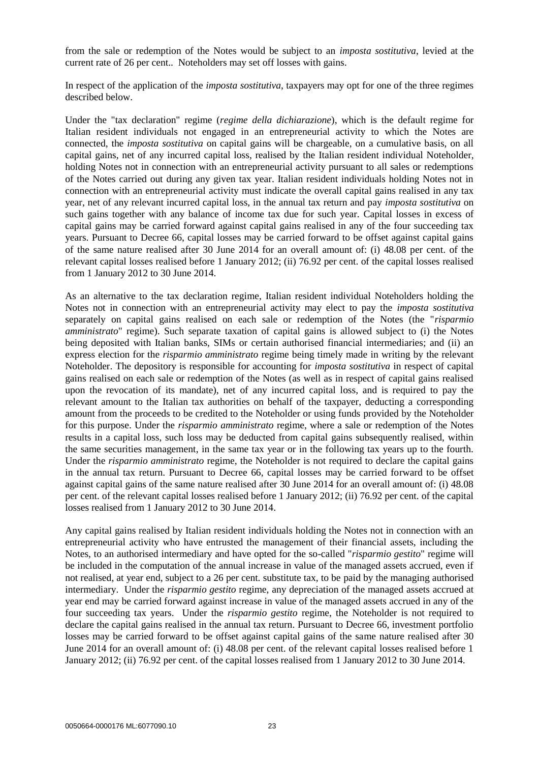from the sale or redemption of the Notes would be subject to an *imposta sostitutiva*, levied at the current rate of 26 per cent.. Noteholders may set off losses with gains.

In respect of the application of the *imposta sostitutiva*, taxpayers may opt for one of the three regimes described below.

Under the "tax declaration" regime (*regime della dichiarazione*), which is the default regime for Italian resident individuals not engaged in an entrepreneurial activity to which the Notes are connected, the *imposta sostitutiva* on capital gains will be chargeable, on a cumulative basis, on all capital gains, net of any incurred capital loss, realised by the Italian resident individual Noteholder, holding Notes not in connection with an entrepreneurial activity pursuant to all sales or redemptions of the Notes carried out during any given tax year. Italian resident individuals holding Notes not in connection with an entrepreneurial activity must indicate the overall capital gains realised in any tax year, net of any relevant incurred capital loss, in the annual tax return and pay *imposta sostitutiva* on such gains together with any balance of income tax due for such year. Capital losses in excess of capital gains may be carried forward against capital gains realised in any of the four succeeding tax years. Pursuant to Decree 66, capital losses may be carried forward to be offset against capital gains of the same nature realised after 30 June 2014 for an overall amount of: (i) 48.08 per cent. of the relevant capital losses realised before 1 January 2012; (ii) 76.92 per cent. of the capital losses realised from 1 January 2012 to 30 June 2014.

As an alternative to the tax declaration regime, Italian resident individual Noteholders holding the Notes not in connection with an entrepreneurial activity may elect to pay the *imposta sostitutiva* separately on capital gains realised on each sale or redemption of the Notes (the "*risparmio amministrato*" regime). Such separate taxation of capital gains is allowed subject to (i) the Notes being deposited with Italian banks, SIMs or certain authorised financial intermediaries; and (ii) an express election for the *risparmio amministrato* regime being timely made in writing by the relevant Noteholder. The depository is responsible for accounting for *imposta sostitutiva* in respect of capital gains realised on each sale or redemption of the Notes (as well as in respect of capital gains realised upon the revocation of its mandate), net of any incurred capital loss, and is required to pay the relevant amount to the Italian tax authorities on behalf of the taxpayer, deducting a corresponding amount from the proceeds to be credited to the Noteholder or using funds provided by the Noteholder for this purpose. Under the *risparmio amministrato* regime, where a sale or redemption of the Notes results in a capital loss, such loss may be deducted from capital gains subsequently realised, within the same securities management, in the same tax year or in the following tax years up to the fourth. Under the *risparmio amministrato* regime, the Noteholder is not required to declare the capital gains in the annual tax return. Pursuant to Decree 66, capital losses may be carried forward to be offset against capital gains of the same nature realised after 30 June 2014 for an overall amount of: (i) 48.08 per cent. of the relevant capital losses realised before 1 January 2012; (ii) 76.92 per cent. of the capital losses realised from 1 January 2012 to 30 June 2014.

Any capital gains realised by Italian resident individuals holding the Notes not in connection with an entrepreneurial activity who have entrusted the management of their financial assets, including the Notes, to an authorised intermediary and have opted for the so-called "*risparmio gestito*" regime will be included in the computation of the annual increase in value of the managed assets accrued, even if not realised, at year end, subject to a 26 per cent. substitute tax, to be paid by the managing authorised intermediary. Under the *risparmio gestito* regime, any depreciation of the managed assets accrued at year end may be carried forward against increase in value of the managed assets accrued in any of the four succeeding tax years. Under the *risparmio gestito* regime, the Noteholder is not required to declare the capital gains realised in the annual tax return. Pursuant to Decree 66, investment portfolio losses may be carried forward to be offset against capital gains of the same nature realised after 30 June 2014 for an overall amount of: (i) 48.08 per cent. of the relevant capital losses realised before 1 January 2012; (ii) 76.92 per cent. of the capital losses realised from 1 January 2012 to 30 June 2014.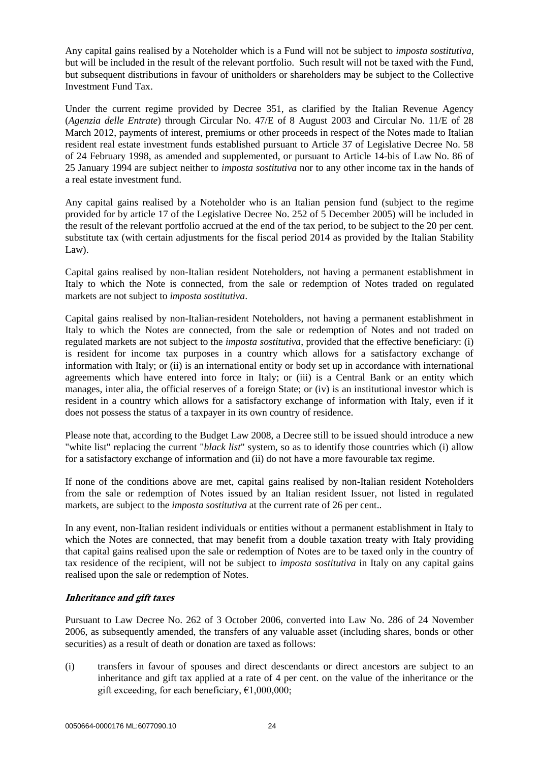Any capital gains realised by a Noteholder which is a Fund will not be subject to *imposta sostitutiva*, but will be included in the result of the relevant portfolio. Such result will not be taxed with the Fund, but subsequent distributions in favour of unitholders or shareholders may be subject to the Collective Investment Fund Tax.

Under the current regime provided by Decree 351, as clarified by the Italian Revenue Agency (*Agenzia delle Entrate*) through Circular No. 47/E of 8 August 2003 and Circular No. 11/E of 28 March 2012, payments of interest, premiums or other proceeds in respect of the Notes made to Italian resident real estate investment funds established pursuant to Article 37 of Legislative Decree No. 58 of 24 February 1998, as amended and supplemented, or pursuant to Article 14-bis of Law No. 86 of 25 January 1994 are subject neither to *imposta sostitutiva* nor to any other income tax in the hands of a real estate investment fund.

Any capital gains realised by a Noteholder who is an Italian pension fund (subject to the regime provided for by article 17 of the Legislative Decree No. 252 of 5 December 2005) will be included in the result of the relevant portfolio accrued at the end of the tax period, to be subject to the 20 per cent. substitute tax (with certain adjustments for the fiscal period 2014 as provided by the Italian Stability Law).

Capital gains realised by non-Italian resident Noteholders, not having a permanent establishment in Italy to which the Note is connected, from the sale or redemption of Notes traded on regulated markets are not subject to *imposta sostitutiva*.

Capital gains realised by non-Italian-resident Noteholders, not having a permanent establishment in Italy to which the Notes are connected, from the sale or redemption of Notes and not traded on regulated markets are not subject to the *imposta sostitutiva*, provided that the effective beneficiary: (i) is resident for income tax purposes in a country which allows for a satisfactory exchange of information with Italy; or (ii) is an international entity or body set up in accordance with international agreements which have entered into force in Italy; or (iii) is a Central Bank or an entity which manages, inter alia, the official reserves of a foreign State; or (iv) is an institutional investor which is resident in a country which allows for a satisfactory exchange of information with Italy, even if it does not possess the status of a taxpayer in its own country of residence.

Please note that, according to the Budget Law 2008, a Decree still to be issued should introduce a new "white list" replacing the current "*black list*" system, so as to identify those countries which (i) allow for a satisfactory exchange of information and (ii) do not have a more favourable tax regime.

If none of the conditions above are met, capital gains realised by non-Italian resident Noteholders from the sale or redemption of Notes issued by an Italian resident Issuer, not listed in regulated markets, are subject to the *imposta sostitutiva* at the current rate of 26 per cent..

In any event, non-Italian resident individuals or entities without a permanent establishment in Italy to which the Notes are connected, that may benefit from a double taxation treaty with Italy providing that capital gains realised upon the sale or redemption of Notes are to be taxed only in the country of tax residence of the recipient, will not be subject to *imposta sostitutiva* in Italy on any capital gains realised upon the sale or redemption of Notes.

## **Inheritance and gift taxes**

Pursuant to Law Decree No. 262 of 3 October 2006, converted into Law No. 286 of 24 November 2006, as subsequently amended, the transfers of any valuable asset (including shares, bonds or other securities) as a result of death or donation are taxed as follows:

<span id="page-23-0"></span>(i) transfers in favour of spouses and direct descendants or direct ancestors are subject to an inheritance and gift tax applied at a rate of 4 per cent. on the value of the inheritance or the gift exceeding, for each beneficiary,  $\epsilon$ 1,000,000;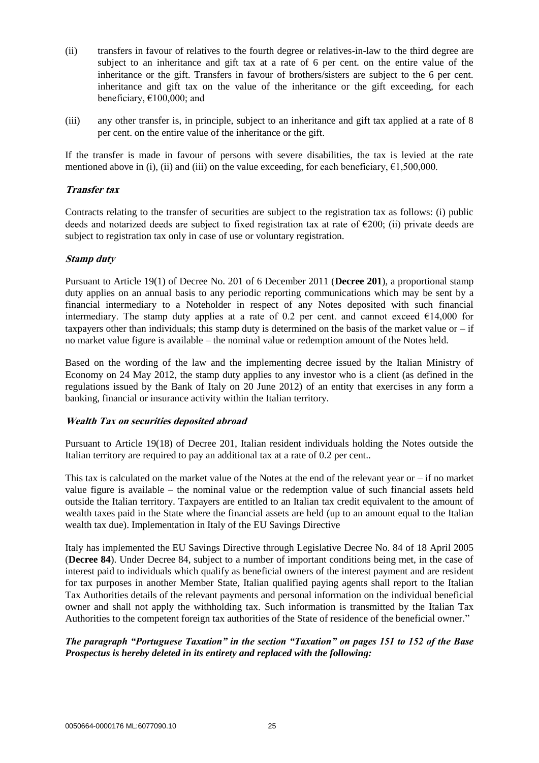- <span id="page-24-0"></span>(ii) transfers in favour of relatives to the fourth degree or relatives-in-law to the third degree are subject to an inheritance and gift tax at a rate of 6 per cent. on the entire value of the inheritance or the gift. Transfers in favour of brothers/sisters are subject to the 6 per cent. inheritance and gift tax on the value of the inheritance or the gift exceeding, for each beneficiary,  $\epsilon$ 100,000; and
- <span id="page-24-1"></span>(iii) any other transfer is, in principle, subject to an inheritance and gift tax applied at a rate of 8 per cent. on the entire value of the inheritance or the gift.

If the transfer is made in favour of persons with severe disabilities, the tax is levied at the rate mentioned above in [\(i\),](#page-23-0) [\(ii\)](#page-24-0) and [\(iii\)](#page-24-1) on the value exceeding, for each beneficiary,  $\epsilon$ 1,500,000.

## **Transfer tax**

Contracts relating to the transfer of securities are subject to the registration tax as follows: (i) public deeds and notarized deeds are subject to fixed registration tax at rate of  $\epsilon$ 200; (ii) private deeds are subject to registration tax only in case of use or voluntary registration.

## **Stamp duty**

Pursuant to Article 19(1) of Decree No. 201 of 6 December 2011 (**Decree 201**), a proportional stamp duty applies on an annual basis to any periodic reporting communications which may be sent by a financial intermediary to a Noteholder in respect of any Notes deposited with such financial intermediary. The stamp duty applies at a rate of 0.2 per cent. and cannot exceed  $\epsilon$ 14,000 for taxpayers other than individuals; this stamp duty is determined on the basis of the market value or  $-$  if no market value figure is available – the nominal value or redemption amount of the Notes held.

Based on the wording of the law and the implementing decree issued by the Italian Ministry of Economy on 24 May 2012, the stamp duty applies to any investor who is a client (as defined in the regulations issued by the Bank of Italy on 20 June 2012) of an entity that exercises in any form a banking, financial or insurance activity within the Italian territory.

## **Wealth Tax on securities deposited abroad**

Pursuant to Article 19(18) of Decree 201, Italian resident individuals holding the Notes outside the Italian territory are required to pay an additional tax at a rate of 0.2 per cent..

This tax is calculated on the market value of the Notes at the end of the relevant year or – if no market value figure is available – the nominal value or the redemption value of such financial assets held outside the Italian territory. Taxpayers are entitled to an Italian tax credit equivalent to the amount of wealth taxes paid in the State where the financial assets are held (up to an amount equal to the Italian wealth tax due). Implementation in Italy of the EU Savings Directive

Italy has implemented the EU Savings Directive through Legislative Decree No. 84 of 18 April 2005 (**Decree 84**). Under Decree 84, subject to a number of important conditions being met, in the case of interest paid to individuals which qualify as beneficial owners of the interest payment and are resident for tax purposes in another Member State, Italian qualified paying agents shall report to the Italian Tax Authorities details of the relevant payments and personal information on the individual beneficial owner and shall not apply the withholding tax. Such information is transmitted by the Italian Tax Authorities to the competent foreign tax authorities of the State of residence of the beneficial owner*.*"

## *The paragraph "Portuguese Taxation" in the section "Taxation" on pages 151 to 152 of the Base Prospectus is hereby deleted in its entirety and replaced with the following:*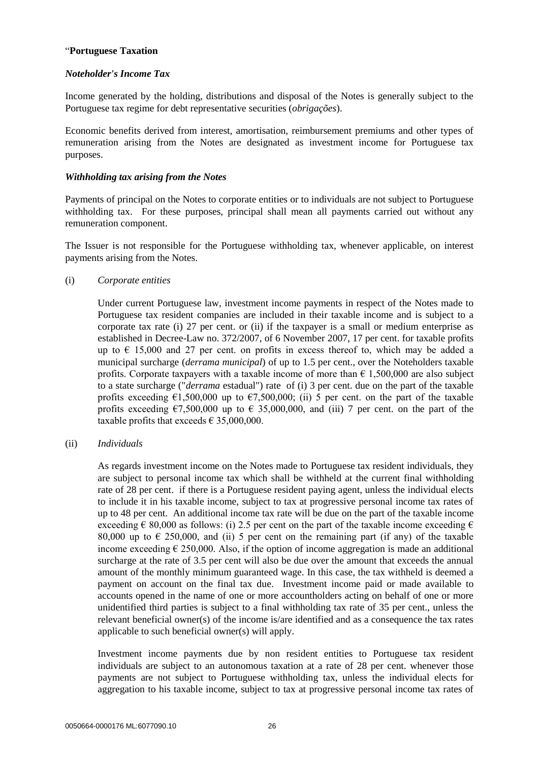### "**Portuguese Taxation**

## *Noteholder's Income Tax*

Income generated by the holding, distributions and disposal of the Notes is generally subject to the Portuguese tax regime for debt representative securities (*obrigações*).

Economic benefits derived from interest, amortisation, reimbursement premiums and other types of remuneration arising from the Notes are designated as investment income for Portuguese tax purposes.

### *Withholding tax arising from the Notes*

Payments of principal on the Notes to corporate entities or to individuals are not subject to Portuguese withholding tax. For these purposes, principal shall mean all payments carried out without any remuneration component.

The Issuer is not responsible for the Portuguese withholding tax, whenever applicable, on interest payments arising from the Notes.

## (i) *Corporate entities*

Under current Portuguese law, investment income payments in respect of the Notes made to Portuguese tax resident companies are included in their taxable income and is subject to a corporate tax rate (i) 27 per cent. or (ii) if the taxpayer is a small or medium enterprise as established in Decree-Law no. 372/2007, of 6 November 2007, 17 per cent. for taxable profits up to  $\epsilon$  15,000 and 27 per cent. on profits in excess thereof to, which may be added a municipal surcharge (*derrama municipal*) of up to 1.5 per cent., over the Noteholders taxable profits. Corporate taxpayers with a taxable income of more than  $\epsilon$  1,500,000 are also subject to a state surcharge ("*derrama* estadual") rate of (i) 3 per cent. due on the part of the taxable profits exceeding  $\epsilon$ 1,500,000 up to  $\epsilon$ 7,500,000; (ii) 5 per cent. on the part of the taxable profits exceeding  $\epsilon$ 7,500,000 up to  $\epsilon$  35,000,000, and (iii) 7 per cent. on the part of the taxable profits that exceeds  $\epsilon$  35,000,000.

### (ii) *Individuals*

As regards investment income on the Notes made to Portuguese tax resident individuals, they are subject to personal income tax which shall be withheld at the current final withholding rate of 28 per cent. if there is a Portuguese resident paying agent, unless the individual elects to include it in his taxable income, subject to tax at progressive personal income tax rates of up to 48 per cent. An additional income tax rate will be due on the part of the taxable income exceeding  $\epsilon$  80,000 as follows: (i) 2.5 per cent on the part of the taxable income exceeding  $\epsilon$ 80,000 up to  $\epsilon$  250,000, and (ii) 5 per cent on the remaining part (if any) of the taxable income exceeding  $\epsilon$  250,000. Also, if the option of income aggregation is made an additional surcharge at the rate of 3.5 per cent will also be due over the amount that exceeds the annual amount of the monthly minimum guaranteed wage. In this case, the tax withheld is deemed a payment on account on the final tax due. Investment income paid or made available to accounts opened in the name of one or more accountholders acting on behalf of one or more unidentified third parties is subject to a final withholding tax rate of 35 per cent., unless the relevant beneficial owner(s) of the income is/are identified and as a consequence the tax rates applicable to such beneficial owner(s) will apply.

Investment income payments due by non resident entities to Portuguese tax resident individuals are subject to an autonomous taxation at a rate of 28 per cent. whenever those payments are not subject to Portuguese withholding tax, unless the individual elects for aggregation to his taxable income, subject to tax at progressive personal income tax rates of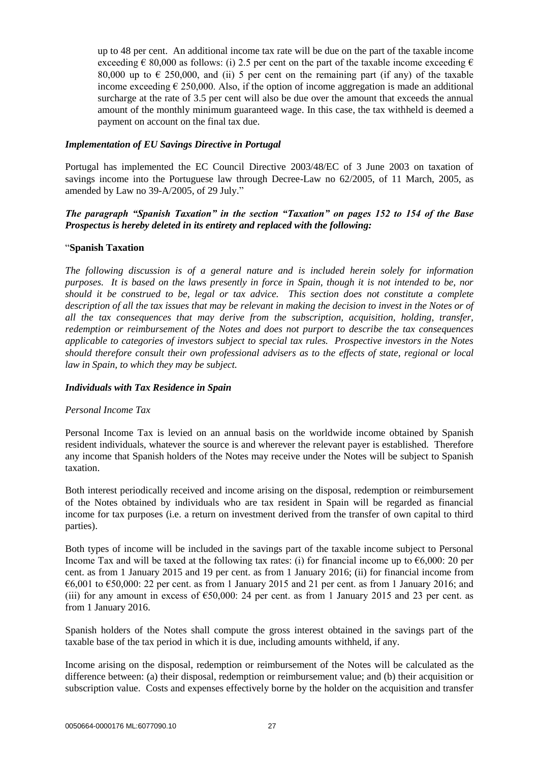up to 48 per cent. An additional income tax rate will be due on the part of the taxable income exceeding  $\epsilon$  80,000 as follows: (i) 2.5 per cent on the part of the taxable income exceeding  $\epsilon$ 80,000 up to  $\epsilon$  250,000, and (ii) 5 per cent on the remaining part (if any) of the taxable income exceeding  $\epsilon$  250,000. Also, if the option of income aggregation is made an additional surcharge at the rate of 3.5 per cent will also be due over the amount that exceeds the annual amount of the monthly minimum guaranteed wage. In this case, the tax withheld is deemed a payment on account on the final tax due.

### *Implementation of EU Savings Directive in Portugal*

Portugal has implemented the EC Council Directive 2003/48/EC of 3 June 2003 on taxation of savings income into the Portuguese law through Decree-Law no 62/2005, of 11 March, 2005, as amended by Law no 39-A/2005, of 29 July."

## *The paragraph "Spanish Taxation" in the section "Taxation" on pages 152 to 154 of the Base Prospectus is hereby deleted in its entirety and replaced with the following:*

#### "**Spanish Taxation**

*The following discussion is of a general nature and is included herein solely for information purposes. It is based on the laws presently in force in Spain, though it is not intended to be, nor should it be construed to be, legal or tax advice. This section does not constitute a complete description of all the tax issues that may be relevant in making the decision to invest in the Notes or of all the tax consequences that may derive from the subscription, acquisition, holding, transfer, redemption or reimbursement of the Notes and does not purport to describe the tax consequences applicable to categories of investors subject to special tax rules. Prospective investors in the Notes should therefore consult their own professional advisers as to the effects of state, regional or local law in Spain, to which they may be subject.*

#### *Individuals with Tax Residence in Spain*

#### *Personal Income Tax*

Personal Income Tax is levied on an annual basis on the worldwide income obtained by Spanish resident individuals, whatever the source is and wherever the relevant payer is established. Therefore any income that Spanish holders of the Notes may receive under the Notes will be subject to Spanish taxation.

Both interest periodically received and income arising on the disposal, redemption or reimbursement of the Notes obtained by individuals who are tax resident in Spain will be regarded as financial income for tax purposes (i.e. a return on investment derived from the transfer of own capital to third parties).

Both types of income will be included in the savings part of the taxable income subject to Personal Income Tax and will be taxed at the following tax rates: (i) for financial income up to  $\epsilon$ 6,000: 20 per cent. as from 1 January 2015 and 19 per cent. as from 1 January 2016; (ii) for financial income from  $66,001$  to  $650,000$ : 22 per cent. as from 1 January 2015 and 21 per cent. as from 1 January 2016; and (iii) for any amount in excess of  $\epsilon$ 50,000: 24 per cent. as from 1 January 2015 and 23 per cent. as from 1 January 2016.

Spanish holders of the Notes shall compute the gross interest obtained in the savings part of the taxable base of the tax period in which it is due, including amounts withheld, if any.

Income arising on the disposal, redemption or reimbursement of the Notes will be calculated as the difference between: (a) their disposal, redemption or reimbursement value; and (b) their acquisition or subscription value. Costs and expenses effectively borne by the holder on the acquisition and transfer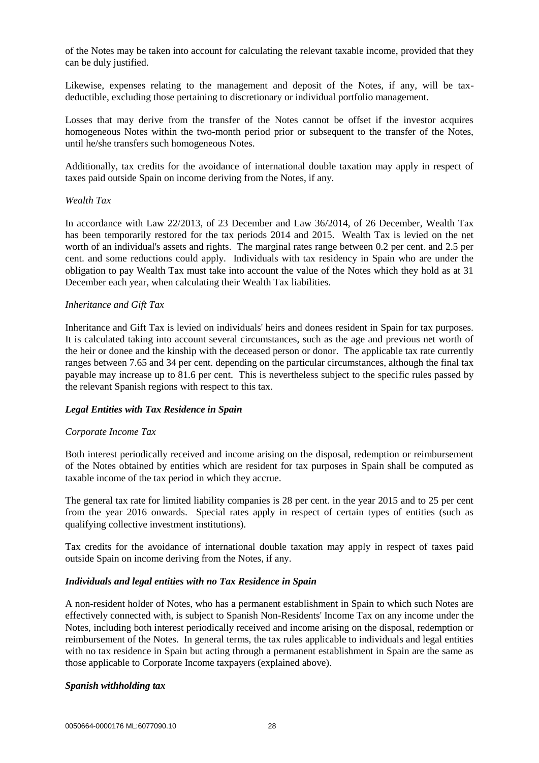of the Notes may be taken into account for calculating the relevant taxable income, provided that they can be duly justified.

Likewise, expenses relating to the management and deposit of the Notes, if any, will be taxdeductible, excluding those pertaining to discretionary or individual portfolio management.

Losses that may derive from the transfer of the Notes cannot be offset if the investor acquires homogeneous Notes within the two-month period prior or subsequent to the transfer of the Notes, until he/she transfers such homogeneous Notes.

Additionally, tax credits for the avoidance of international double taxation may apply in respect of taxes paid outside Spain on income deriving from the Notes, if any.

#### *Wealth Tax*

In accordance with Law 22/2013, of 23 December and Law 36/2014, of 26 December, Wealth Tax has been temporarily restored for the tax periods 2014 and 2015. Wealth Tax is levied on the net worth of an individual's assets and rights. The marginal rates range between 0.2 per cent. and 2.5 per cent. and some reductions could apply. Individuals with tax residency in Spain who are under the obligation to pay Wealth Tax must take into account the value of the Notes which they hold as at 31 December each year, when calculating their Wealth Tax liabilities.

#### *Inheritance and Gift Tax*

Inheritance and Gift Tax is levied on individuals' heirs and donees resident in Spain for tax purposes. It is calculated taking into account several circumstances, such as the age and previous net worth of the heir or donee and the kinship with the deceased person or donor. The applicable tax rate currently ranges between 7.65 and 34 per cent. depending on the particular circumstances, although the final tax payable may increase up to 81.6 per cent. This is nevertheless subject to the specific rules passed by the relevant Spanish regions with respect to this tax.

### *Legal Entities with Tax Residence in Spain*

### *Corporate Income Tax*

Both interest periodically received and income arising on the disposal, redemption or reimbursement of the Notes obtained by entities which are resident for tax purposes in Spain shall be computed as taxable income of the tax period in which they accrue.

The general tax rate for limited liability companies is 28 per cent. in the year 2015 and to 25 per cent from the year 2016 onwards. Special rates apply in respect of certain types of entities (such as qualifying collective investment institutions).

Tax credits for the avoidance of international double taxation may apply in respect of taxes paid outside Spain on income deriving from the Notes, if any.

#### *Individuals and legal entities with no Tax Residence in Spain*

A non-resident holder of Notes, who has a permanent establishment in Spain to which such Notes are effectively connected with, is subject to Spanish Non-Residents' Income Tax on any income under the Notes, including both interest periodically received and income arising on the disposal, redemption or reimbursement of the Notes. In general terms, the tax rules applicable to individuals and legal entities with no tax residence in Spain but acting through a permanent establishment in Spain are the same as those applicable to Corporate Income taxpayers (explained above).

#### *Spanish withholding tax*